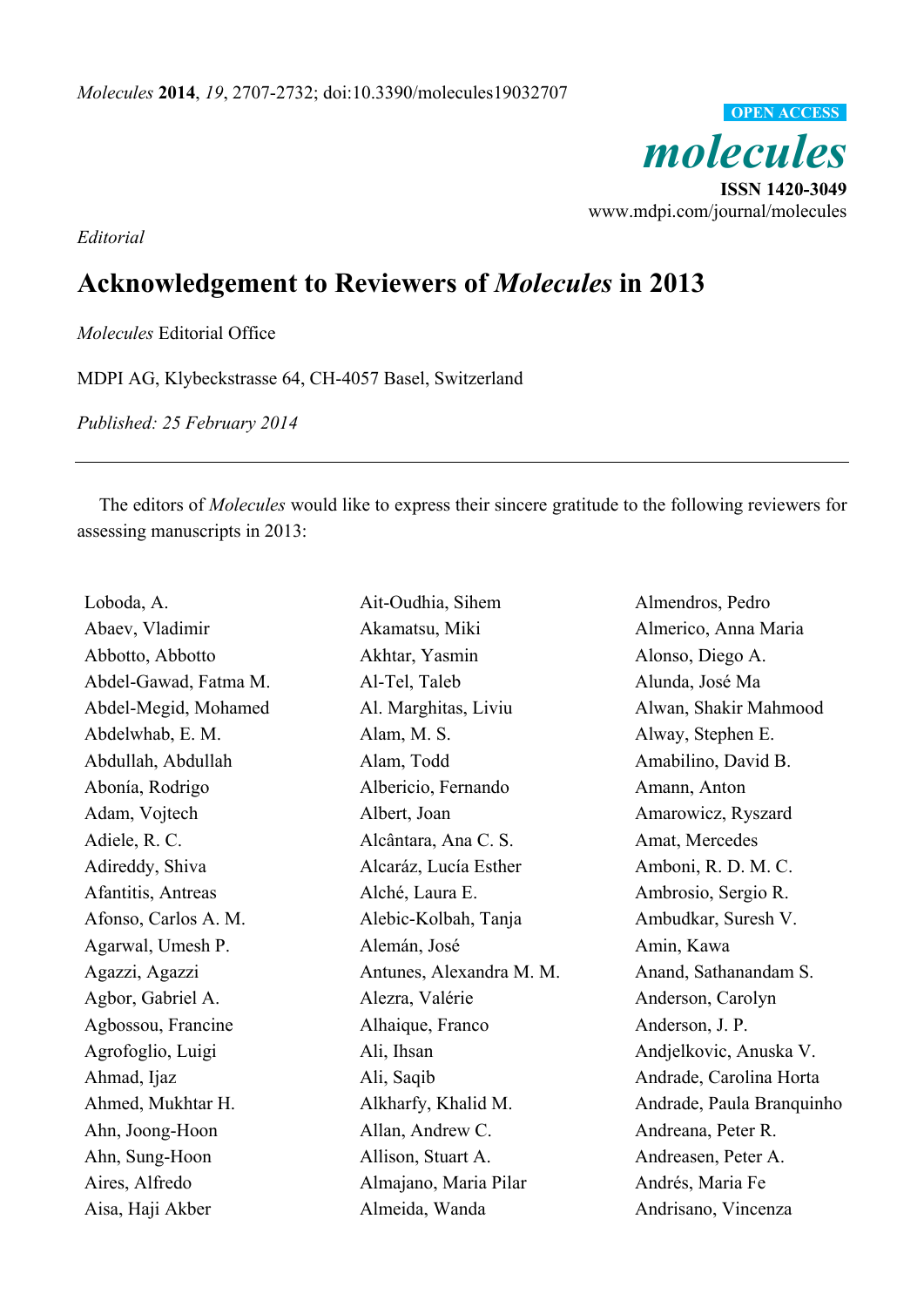

*Editorial* 

## **Acknowledgement to Reviewers of** *Molecules* **in 2013**

*Molecules* Editorial Office

MDPI AG, Klybeckstrasse 64, CH-4057 Basel, Switzerland

*Published: 25 February 2014* 

The editors of *Molecules* would like to express their sincere gratitude to the following reviewers for assessing manuscripts in 2013:

Loboda, A. Abaev, Vladimir Abbotto, Abbotto Abdel-Gawad, Fatma M. Abdel-Megid, Mohamed Abdelwhab, E. M. Abdullah, Abdullah Abonía, Rodrigo Adam, Vojtech Adiele, R. C. Adireddy, Shiva Afantitis, Antreas Afonso, Carlos A. M. Agarwal, Umesh P. Agazzi, Agazzi Agbor, Gabriel A. Agbossou, Francine Agrofoglio, Luigi Ahmad, Ijaz Ahmed, Mukhtar H. Ahn, Joong-Hoon Ahn, Sung-Hoon Aires, Alfredo Aisa, Haji Akber

Ait-Oudhia, Sihem Akamatsu, Miki Akhtar, Yasmin Al-Tel, Taleb Al. Marghitas, Liviu Alam, M. S. Alam, Todd Albericio, Fernando Albert, Joan Alcântara, Ana C. S. Alcaráz, Lucía Esther Alché, Laura E. Alebic-Kolbah, Tanja Alemán, José Antunes, Alexandra M. M. Alezra, Valérie Alhaique, Franco Ali, Ihsan Ali, Saqib Alkharfy, Khalid M. Allan, Andrew C. Allison, Stuart A. Almajano, Maria Pilar Almeida, Wanda

Almendros, Pedro Almerico, Anna Maria Alonso, Diego A. Alunda, José Ma Alwan, Shakir Mahmood Alway, Stephen E. Amabilino, David B. Amann, Anton Amarowicz, Ryszard Amat, Mercedes Amboni, R. D. M. C. Ambrosio, Sergio R. Ambudkar, Suresh V. Amin, Kawa Anand, Sathanandam S. Anderson, Carolyn Anderson, J. P. Andjelkovic, Anuska V. Andrade, Carolina Horta Andrade, Paula Branquinho Andreana, Peter R. Andreasen, Peter A. Andrés, Maria Fe Andrisano, Vincenza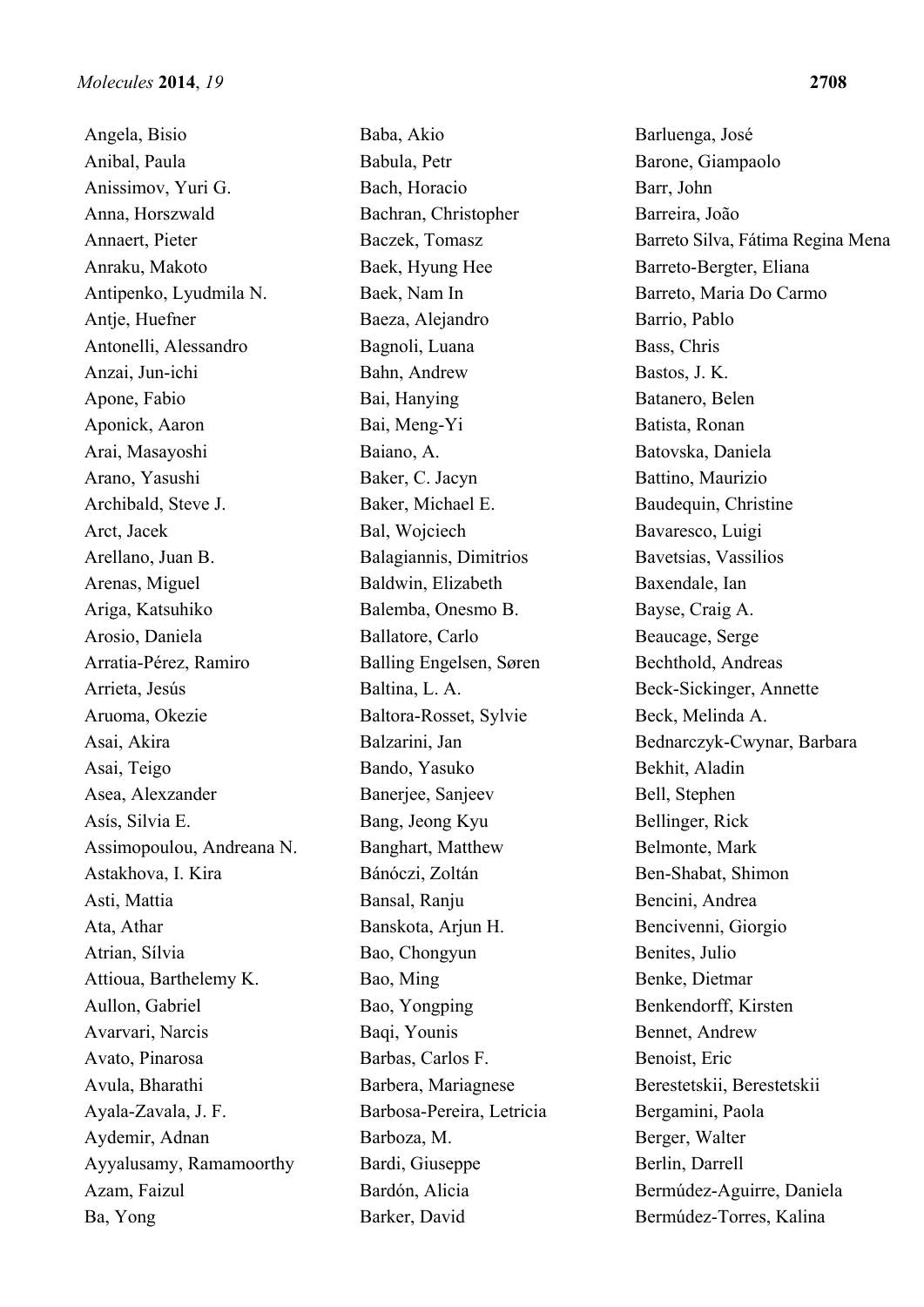Angela, Bisio Anibal, Paula Anissimov, Yuri G. Anna, Horszwald Annaert, Pieter Anraku, Makoto Antipenko, Lyudmila N. Antje, Huefner Antonelli, Alessandro Anzai, Jun-ichi Apone, Fabio Aponick, Aaron Arai, Masayoshi Arano, Yasushi Archibald, Steve J. Arct, Jacek Arellano, Juan B. Arenas, Miguel Ariga, Katsuhiko Arosio, Daniela Arratia-Pérez, Ramiro Arrieta, Jesús Aruoma, Okezie Asai, Akira Asai, Teigo Asea, Alexzander Asís, Silvia E. Assimopoulou, Andreana N. Astakhova, I. Kira Asti, Mattia Ata, Athar Atrian, Sílvia Attioua, Barthelemy K. Aullon, Gabriel Avarvari, Narcis Avato, Pinarosa Avula, Bharathi Ayala-Zavala, J. F. Aydemir, Adnan Ayyalusamy, Ramamoorthy Azam, Faizul Ba, Yong

Baba, Akio Babula, Petr Bach, Horacio Bachran, Christopher Baczek, Tomasz Baek, Hyung Hee Baek, Nam In Baeza, Alejandro Bagnoli, Luana Bahn, Andrew Bai, Hanying Bai, Meng-Yi Baiano, A. Baker, C. Jacyn Baker, Michael E. Bal, Wojciech Balagiannis, Dimitrios Baldwin, Elizabeth Balemba, Onesmo B. Ballatore, Carlo Balling Engelsen, Søren Baltina, L. A. Baltora-Rosset, Sylvie Balzarini, Jan Bando, Yasuko Banerjee, Sanjeev Bang, Jeong Kyu Banghart, Matthew Bánóczi, Zoltán Bansal, Ranju Banskota, Arjun H. Bao, Chongyun Bao, Ming Bao, Yongping Baqi, Younis Barbas, Carlos F. Barbera, Mariagnese Barbosa-Pereira, Letricia Barboza, M. Bardi, Giuseppe Bardón, Alicia Barker, David

Barluenga, José Barone, Giampaolo Barr, John Barreira, João Barreto Silva, Fátima Regina Mena Barreto-Bergter, Eliana Barreto, Maria Do Carmo Barrio, Pablo Bass, Chris Bastos, J. K. Batanero, Belen Batista, Ronan Batovska, Daniela Battino, Maurizio Baudequin, Christine Bavaresco, Luigi Bavetsias, Vassilios Baxendale, Ian Bayse, Craig A. Beaucage, Serge Bechthold, Andreas Beck-Sickinger, Annette Beck, Melinda A. Bednarczyk-Cwynar, Barbara Bekhit, Aladin Bell, Stephen Bellinger, Rick Belmonte, Mark Ben-Shabat, Shimon Bencini, Andrea Bencivenni, Giorgio Benites, Julio Benke, Dietmar Benkendorff, Kirsten Bennet, Andrew Benoist, Eric Berestetskii, Berestetskii Bergamini, Paola Berger, Walter Berlin, Darrell Bermúdez-Aguirre, Daniela Bermúdez-Torres, Kalina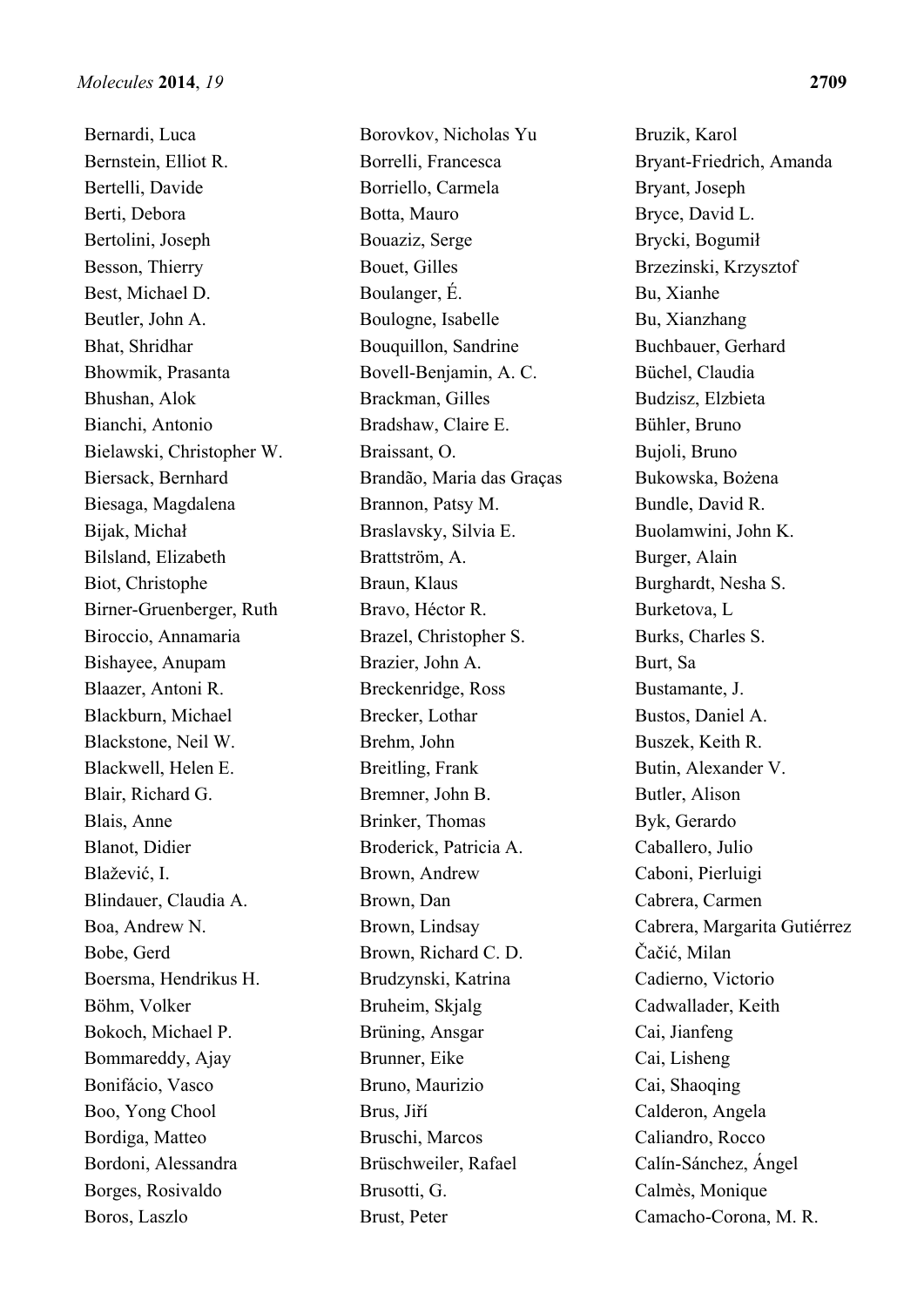Bernardi, Luca Bernstein, Elliot R. Bertelli, Davide Berti, Debora Bertolini, Joseph Besson, Thierry Best, Michael D. Beutler, John A. Bhat, Shridhar Bhowmik, Prasanta Bhushan, Alok Bianchi, Antonio Bielawski, Christopher W. Biersack, Bernhard Biesaga, Magdalena Bijak, Michał Bilsland, Elizabeth Biot, Christophe Birner-Gruenberger, Ruth Biroccio, Annamaria Bishayee, Anupam Blaazer, Antoni R. Blackburn, Michael Blackstone, Neil W. Blackwell, Helen E. Blair, Richard G. Blais, Anne Blanot, Didier Blažević, I. Blindauer, Claudia A. Boa, Andrew N. Bobe, Gerd Boersma, Hendrikus H. Böhm, Volker Bokoch, Michael P. Bommareddy, Ajay Bonifácio, Vasco Boo, Yong Chool Bordiga, Matteo Bordoni, Alessandra Borges, Rosivaldo Boros, Laszlo

Borovkov, Nicholas Yu Borrelli, Francesca Borriello, Carmela Botta, Mauro Bouaziz, Serge Bouet, Gilles Boulanger, É. Boulogne, Isabelle Bouquillon, Sandrine Bovell-Benjamin, A. C. Brackman, Gilles Bradshaw, Claire E. Braissant, O. Brandão, Maria das Graças Brannon, Patsy M. Braslavsky, Silvia E. Brattström, A. Braun, Klaus Bravo, Héctor R. Brazel, Christopher S. Brazier, John A. Breckenridge, Ross Brecker, Lothar Brehm, John Breitling, Frank Bremner, John B. Brinker, Thomas Broderick, Patricia A. Brown, Andrew Brown, Dan Brown, Lindsay Brown, Richard C. D. Brudzynski, Katrina Bruheim, Skjalg Brüning, Ansgar Brunner, Eike Bruno, Maurizio Brus, Jiří Bruschi, Marcos Brüschweiler, Rafael Brusotti, G. Brust, Peter

Bruzik, Karol Bryant-Friedrich, Amanda Bryant, Joseph Bryce, David L. Brycki, Bogumił Brzezinski, Krzysztof Bu, Xianhe Bu, Xianzhang Buchbauer, Gerhard Büchel, Claudia Budzisz, Elzbieta Bühler, Bruno Bujoli, Bruno Bukowska, Bożena Bundle, David R. Buolamwini, John K. Burger, Alain Burghardt, Nesha S. Burketova, L Burks, Charles S. Burt, Sa Bustamante, J. Bustos, Daniel A. Buszek, Keith R. Butin, Alexander V. Butler, Alison Byk, Gerardo Caballero, Julio Caboni, Pierluigi Cabrera, Carmen Cabrera, Margarita Gutiérrez Čačić, Milan Cadierno, Victorio Cadwallader, Keith Cai, Jianfeng Cai, Lisheng Cai, Shaoqing Calderon, Angela Caliandro, Rocco Calín-Sánchez, Ángel Calmès, Monique Camacho-Corona, M. R.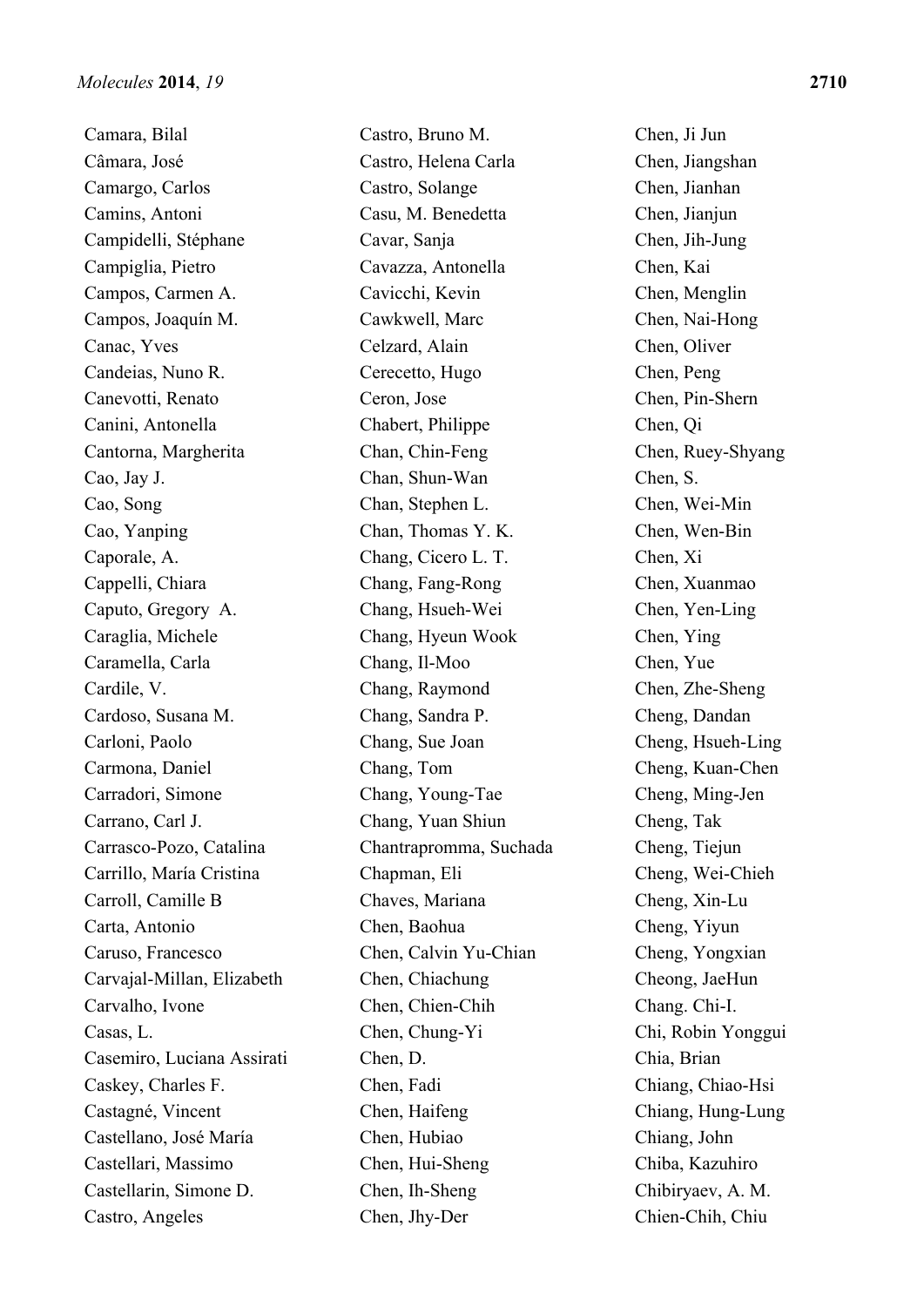Camara, Bilal Câmara, José Camargo, Carlos Camins, Antoni Campidelli, Stéphane Campiglia, Pietro Campos, Carmen A. Campos, Joaquín M. Canac, Yves Candeias, Nuno R. Canevotti, Renato Canini, Antonella Cantorna, Margherita Cao, Jay J. Cao, Song Cao, Yanping Caporale, A. Cappelli, Chiara Caputo, Gregory A. Caraglia, Michele Caramella, Carla Cardile, V. Cardoso, Susana M. Carloni, Paolo Carmona, Daniel Carradori, Simone Carrano, Carl J. Carrasco-Pozo, Catalina Carrillo, María Cristina Carroll, Camille B Carta, Antonio Caruso, Francesco Carvajal-Millan, Elizabeth Carvalho, Ivone Casas, L. Casemiro, Luciana Assirati Caskey, Charles F. Castagné, Vincent Castellano, José María Castellari, Massimo Castellarin, Simone D. Castro, Angeles

Castro, Bruno M. Castro, Helena Carla Castro, Solange Casu, M. Benedetta Cavar, Sanja Cavazza, Antonella Cavicchi, Kevin Cawkwell, Marc Celzard, Alain Cerecetto, Hugo Ceron, Jose Chabert, Philippe Chan, Chin-Feng Chan, Shun-Wan Chan, Stephen L. Chan, Thomas Y. K. Chang, Cicero L. T. Chang, Fang-Rong Chang, Hsueh-Wei Chang, Hyeun Wook Chang, Il-Moo Chang, Raymond Chang, Sandra P. Chang, Sue Joan Chang, Tom Chang, Young-Tae Chang, Yuan Shiun Chantrapromma, Suchada Chapman, Eli Chaves, Mariana Chen, Baohua Chen, Calvin Yu-Chian Chen, Chiachung Chen, Chien-Chih Chen, Chung-Yi Chen, D. Chen, Fadi Chen, Haifeng Chen, Hubiao Chen, Hui-Sheng Chen, Ih-Sheng Chen, Jhy-Der

Chen, Ji Jun Chen, Jiangshan Chen, Jianhan Chen, Jianjun Chen, Jih-Jung Chen, Kai Chen, Menglin Chen, Nai-Hong Chen, Oliver Chen, Peng Chen, Pin-Shern Chen, Qi Chen, Ruey-Shyang Chen, S. Chen, Wei-Min Chen, Wen-Bin Chen, Xi Chen, Xuanmao Chen, Yen-Ling Chen, Ying Chen, Yue Chen, Zhe-Sheng Cheng, Dandan Cheng, Hsueh-Ling Cheng, Kuan-Chen Cheng, Ming-Jen Cheng, Tak Cheng, Tiejun Cheng, Wei-Chieh Cheng, Xin-Lu Cheng, Yiyun Cheng, Yongxian Cheong, JaeHun Chang. Chi-I. Chi, Robin Yonggui Chia, Brian Chiang, Chiao-Hsi Chiang, Hung-Lung Chiang, John Chiba, Kazuhiro Chibiryaev, A. M. Chien-Chih, Chiu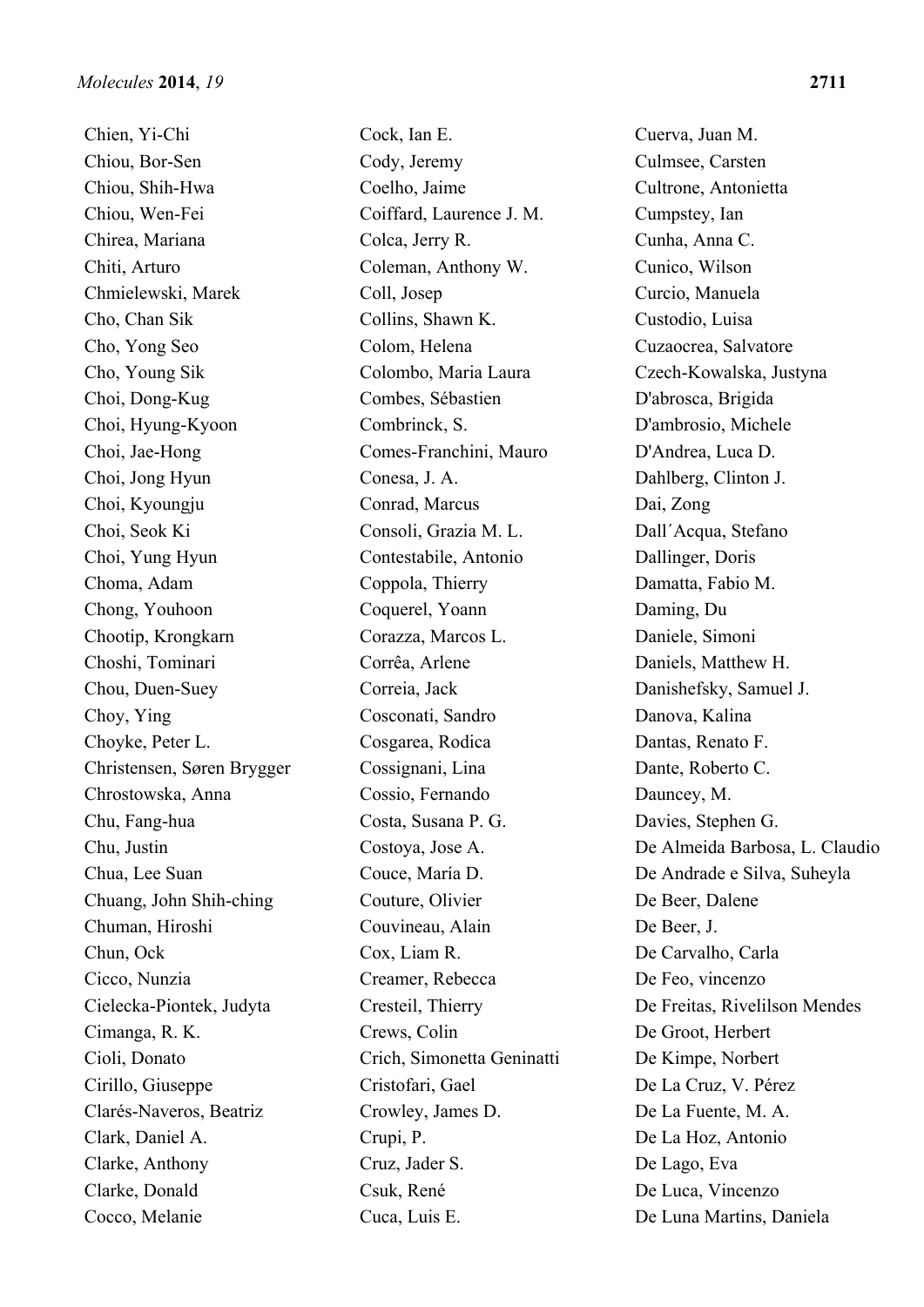Chien, Yi-Chi Chiou, Bor-Sen Chiou, Shih-Hwa Chiou, Wen-Fei Chirea, Mariana Chiti, Arturo Chmielewski, Marek Cho, Chan Sik Cho, Yong Seo Cho, Young Sik Choi, Dong-Kug Choi, Hyung-Kyoon Choi, Jae-Hong Choi, Jong Hyun Choi, Kyoungju Choi, Seok Ki Choi, Yung Hyun Choma, Adam Chong, Youhoon Chootip, Krongkarn Choshi, Tominari Chou, Duen-Suey Choy, Ying Choyke, Peter L. Christensen, Søren Brygger Chrostowska, Anna Chu, Fang-hua Chu, Justin Chua, Lee Suan Chuang, John Shih-ching Chuman, Hiroshi Chun, Ock Cicco, Nunzia Cielecka-Piontek, Judyta Cimanga, R. K. Cioli, Donato Cirillo, Giuseppe Clarés-Naveros, Beatriz Clark, Daniel A. Clarke, Anthony Clarke, Donald Cocco, Melanie

Cock, Ian E. Cody, Jeremy Coelho, Jaime Coiffard, Laurence J. M. Colca, Jerry R. Coleman, Anthony W. Coll, Josep Collins, Shawn K. Colom, Helena Colombo, Maria Laura Combes, Sébastien Combrinck, S. Comes-Franchini, Mauro Conesa, J. A. Conrad, Marcus Consoli, Grazia M. L. Contestabile, Antonio Coppola, Thierry Coquerel, Yoann Corazza, Marcos L. Corrêa, Arlene Correia, Jack Cosconati, Sandro Cosgarea, Rodica Cossignani, Lina Cossio, Fernando Costa, Susana P. G. Costoya, Jose A. Couce, María D. Couture, Olivier Couvineau, Alain Cox, Liam R. Creamer, Rebecca Cresteil, Thierry Crews, Colin Crich, Simonetta Geninatti Cristofari, Gael Crowley, James D. Crupi, P. Cruz, Jader S. Csuk, René Cuca, Luis E.

Cuerva, Juan M. Culmsee, Carsten Cultrone, Antonietta Cumpstey, Ian Cunha, Anna C. Cunico, Wilson Curcio, Manuela Custodio, Luisa Cuzaocrea, Salvatore Czech-Kowalska, Justyna D'abrosca, Brigida D'ambrosio, Michele D'Andrea, Luca D. Dahlberg, Clinton J. Dai, Zong Dall´Acqua, Stefano Dallinger, Doris Damatta, Fabio M. Daming, Du Daniele, Simoni Daniels, Matthew H. Danishefsky, Samuel J. Danova, Kalina Dantas, Renato F. Dante, Roberto C. Dauncey, M. Davies, Stephen G. De Almeida Barbosa, L. Claudio De Andrade e Silva, Suheyla De Beer, Dalene De Beer, J. De Carvalho, Carla De Feo, vincenzo De Freitas, Rivelilson Mendes De Groot, Herbert De Kimpe, Norbert De La Cruz, V. Pérez De La Fuente, M. A. De La Hoz, Antonio De Lago, Eva De Luca, Vincenzo De Luna Martins, Daniela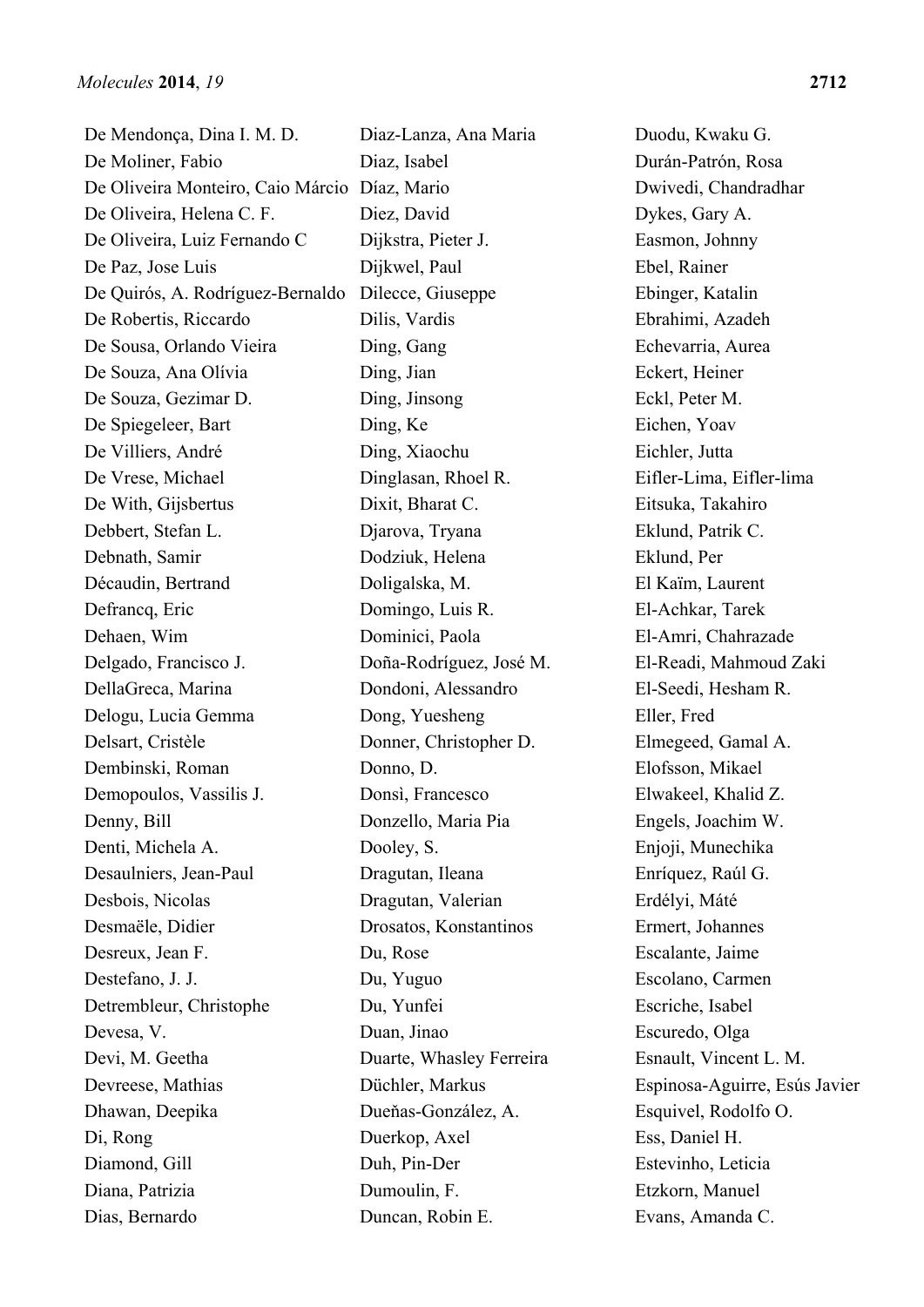| De Mendonça, Dina I. M. D.                    | Diaz-Lanza, Ana Maria    | Duodu, Kwaku G.               |
|-----------------------------------------------|--------------------------|-------------------------------|
| De Moliner, Fabio                             | Diaz, Isabel             | Durán-Patrón, Rosa            |
| De Oliveira Monteiro, Caio Márcio Díaz, Mario |                          | Dwivedi, Chandradhar          |
| De Oliveira, Helena C. F.                     | Diez, David              | Dykes, Gary A.                |
| De Oliveira, Luiz Fernando C                  | Dijkstra, Pieter J.      | Easmon, Johnny                |
| De Paz, Jose Luis                             | Dijkwel, Paul            | Ebel, Rainer                  |
| De Quirós, A. Rodríguez-Bernaldo              | Dilecce, Giuseppe        | Ebinger, Katalin              |
| De Robertis, Riccardo                         | Dilis, Vardis            | Ebrahimi, Azadeh              |
| De Sousa, Orlando Vieira                      | Ding, Gang               | Echevarria, Aurea             |
| De Souza, Ana Olívia                          | Ding, Jian               | Eckert, Heiner                |
| De Souza, Gezimar D.                          | Ding, Jinsong            | Eckl, Peter M.                |
| De Spiegeleer, Bart                           | Ding, Ke                 | Eichen, Yoav                  |
| De Villiers, André                            | Ding, Xiaochu            | Eichler, Jutta                |
| De Vrese, Michael                             | Dinglasan, Rhoel R.      | Eifler-Lima, Eifler-lima      |
| De With, Gijsbertus                           | Dixit, Bharat C.         | Eitsuka, Takahiro             |
| Debbert, Stefan L.                            | Djarova, Tryana          | Eklund, Patrik C.             |
| Debnath, Samir                                | Dodziuk, Helena          | Eklund, Per                   |
| Décaudin, Bertrand                            | Doligalska, M.           | El Kaïm, Laurent              |
| Defrancq, Eric                                | Domingo, Luis R.         | El-Achkar, Tarek              |
| Dehaen, Wim                                   | Dominici, Paola          | El-Amri, Chahrazade           |
| Delgado, Francisco J.                         | Doña-Rodríguez, José M.  | El-Readi, Mahmoud Zaki        |
| DellaGreca, Marina                            | Dondoni, Alessandro      | El-Seedi, Hesham R.           |
| Delogu, Lucia Gemma                           | Dong, Yuesheng           | Eller, Fred                   |
| Delsart, Cristèle                             | Donner, Christopher D.   | Elmegeed, Gamal A.            |
| Dembinski, Roman                              | Donno, D.                | Elofsson, Mikael              |
| Demopoulos, Vassilis J.                       | Donsì, Francesco         | Elwakeel, Khalid Z.           |
| Denny, Bill                                   | Donzello, Maria Pia      | Engels, Joachim W.            |
| Denti, Michela A.                             | Dooley, S.               | Enjoji, Munechika             |
| Desaulniers, Jean-Paul                        | Dragutan, Ileana         | Enríquez, Raúl G.             |
| Desbois, Nicolas                              | Dragutan, Valerian       | Erdélyi, Máté                 |
| Desmaële, Didier                              | Drosatos, Konstantinos   | Ermert, Johannes              |
| Desreux, Jean F.                              | Du, Rose                 | Escalante, Jaime              |
| Destefano, J. J.                              | Du, Yuguo                | Escolano, Carmen              |
| Detrembleur, Christophe                       | Du, Yunfei               | Escriche, Isabel              |
| Devesa, V.                                    | Duan, Jinao              | Escuredo, Olga                |
| Devi, M. Geetha                               | Duarte, Whasley Ferreira | Esnault, Vincent L. M.        |
| Devreese, Mathias                             | Düchler, Markus          | Espinosa-Aguirre, Esús Javier |
| Dhawan, Deepika                               | Dueňas-González, A.      | Esquivel, Rodolfo O.          |
| Di, Rong                                      | Duerkop, Axel            | Ess, Daniel H.                |
| Diamond, Gill                                 | Duh, Pin-Der             | Estevinho, Leticia            |
| Diana, Patrizia                               | Dumoulin, F.             | Etzkorn, Manuel               |
| Dias, Bernardo                                | Duncan, Robin E.         | Evans, Amanda C.              |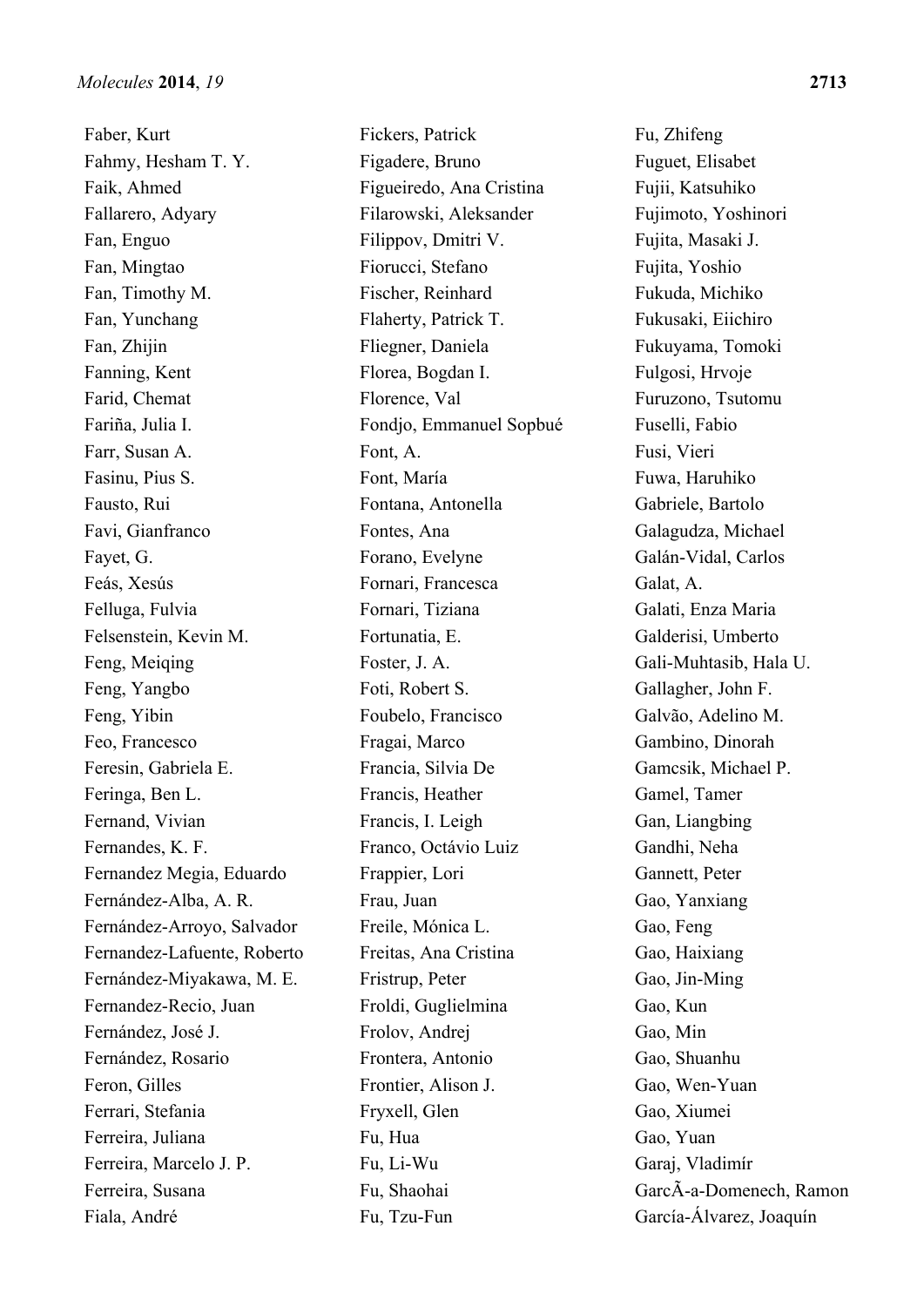Faber, Kurt Fahmy, Hesham T. Y. Faik, Ahmed Fallarero, Adyary Fan, Enguo Fan, Mingtao Fan, Timothy M. Fan, Yunchang Fan, Zhijin Fanning, Kent Farid, Chemat Fariña, Julia I. Farr, Susan A. Fasinu, Pius S. Fausto, Rui Favi, Gianfranco Fayet, G. Feás, Xesús Felluga, Fulvia Felsenstein, Kevin M. Feng, Meiqing Feng, Yangbo Feng, Yibin Feo, Francesco Feresin, Gabriela E. Feringa, Ben L. Fernand, Vivian Fernandes, K. F. Fernandez Megia, Eduardo Fernández-Alba, A. R. Fernández-Arroyo, Salvador Fernandez-Lafuente, Roberto Fernández-Miyakawa, M. E. Fernandez-Recio, Juan Fernández, José J. Fernández, Rosario Feron, Gilles Ferrari, Stefania Ferreira, Juliana Ferreira, Marcelo J. P. Ferreira, Susana Fiala, André

Fickers, Patrick Figadere, Bruno Figueiredo, Ana Cristina Filarowski, Aleksander Filippov, Dmitri V. Fiorucci, Stefano Fischer, Reinhard Flaherty, Patrick T. Fliegner, Daniela Florea, Bogdan I. Florence, Val Fondjo, Emmanuel Sopbué Font, A. Font, María Fontana, Antonella Fontes, Ana Forano, Evelyne Fornari, Francesca Fornari, Tiziana Fortunatia, E. Foster, J. A. Foti, Robert S. Foubelo, Francisco Fragai, Marco Francia, Silvia De Francis, Heather Francis, I. Leigh Franco, Octávio Luiz Frappier, Lori Frau, Juan Freile, Mónica L. Freitas, Ana Cristina Fristrup, Peter Froldi, Guglielmina Frolov, Andrej Frontera, Antonio Frontier, Alison J. Fryxell, Glen Fu, Hua Fu, Li-Wu Fu, Shaohai Fu, Tzu-Fun

Fu, Zhifeng Fuguet, Elisabet Fujii, Katsuhiko Fujimoto, Yoshinori Fujita, Masaki J. Fujita, Yoshio Fukuda, Michiko Fukusaki, Eiichiro Fukuyama, Tomoki Fulgosi, Hrvoje Furuzono, Tsutomu Fuselli, Fabio Fusi, Vieri Fuwa, Haruhiko Gabriele, Bartolo Galagudza, Michael Galán-Vidal, Carlos Galat, A. Galati, Enza Maria Galderisi, Umberto Gali-Muhtasib, Hala U. Gallagher, John F. Galvão, Adelino M. Gambino, Dinorah Gamcsik, Michael P. Gamel, Tamer Gan, Liangbing Gandhi, Neha Gannett, Peter Gao, Yanxiang Gao, Feng Gao, Haixiang Gao, Jin-Ming Gao, Kun Gao, Min Gao, Shuanhu Gao, Wen-Yuan Gao, Xiumei Gao, Yuan Garaj, Vladimír GarcÃ-a-Domenech, Ramon García-Álvarez, Joaquín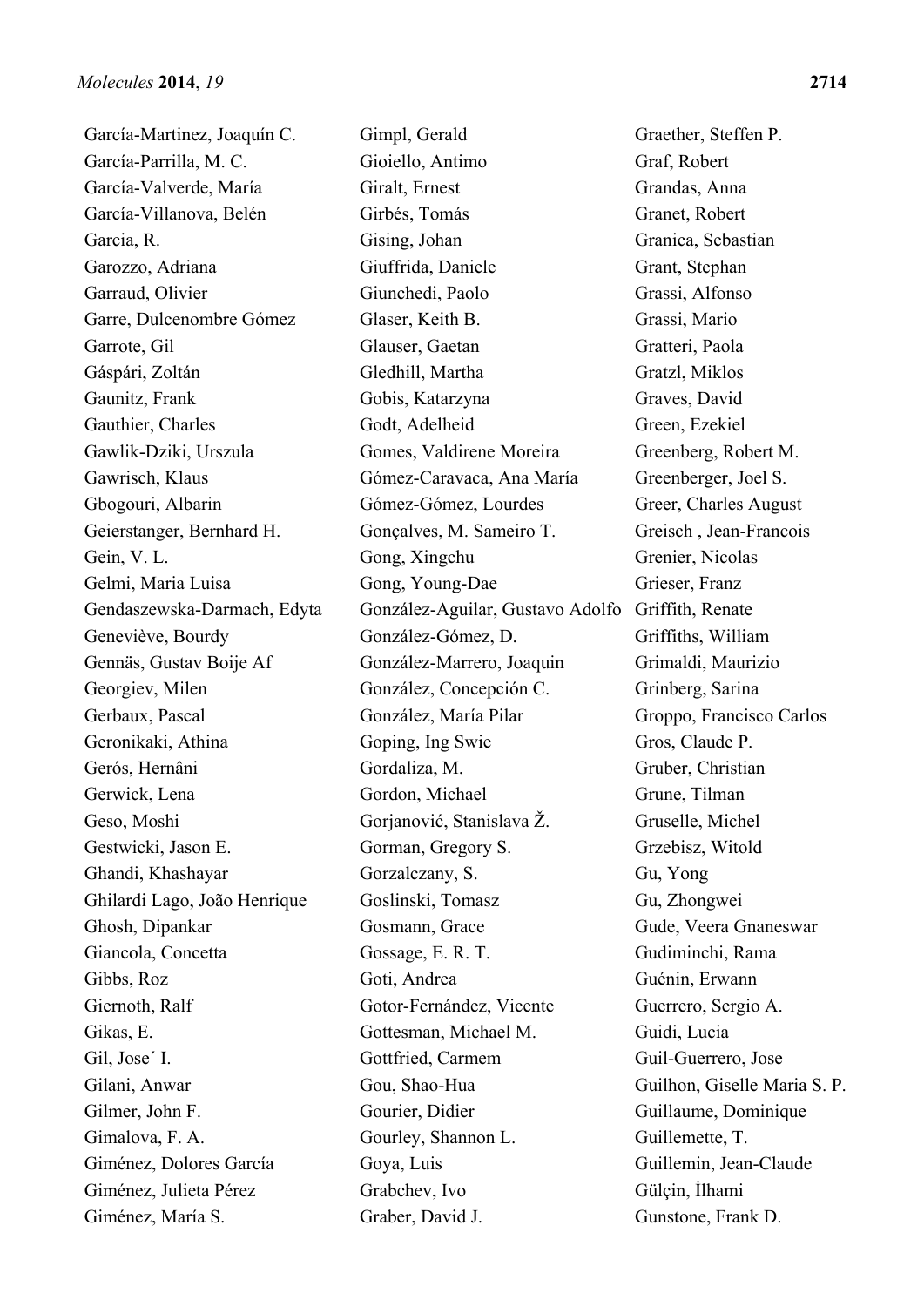García-Martinez, Joaquín C. García-Parrilla, M. C. García-Valverde, María García-Villanova, Belén Garcia, R. Garozzo, Adriana Garraud, Olivier Garre, Dulcenombre Gómez Garrote, Gil Gáspári, Zoltán Gaunitz, Frank Gauthier, Charles Gawlik-Dziki, Urszula Gawrisch, Klaus Gbogouri, Albarin Geierstanger, Bernhard H. Gein, V. L. Gelmi, Maria Luisa Gendaszewska-Darmach, Edyta Geneviève, Bourdy Gennäs, Gustav Boije Af Georgiev, Milen Gerbaux, Pascal Geronikaki, Athina Gerós, Hernâni Gerwick, Lena Geso, Moshi Gestwicki, Jason E. Ghandi, Khashayar Ghilardi Lago, João Henrique Ghosh, Dipankar Giancola, Concetta Gibbs, Roz Giernoth, Ralf Gikas, E. Gil, Jose´ I. Gilani, Anwar Gilmer, John F. Gimalova, F. A. Giménez, Dolores García Giménez, Julieta Pérez Giménez, María S.

Gimpl, Gerald Gioiello, Antimo Giralt, Ernest Girbés, Tomás Gising, Johan Giuffrida, Daniele Giunchedi, Paolo Glaser, Keith B. Glauser, Gaetan Gledhill, Martha Gobis, Katarzyna Godt, Adelheid Gomes, Valdirene Moreira Gómez-Caravaca, Ana María Gómez-Gómez, Lourdes Gonçalves, M. Sameiro T. Gong, Xingchu Gong, Young-Dae González-Aguilar, Gustavo Adolfo Griffith, Renate González-Gómez, D. González-Marrero, Joaquin González, Concepción C. González, María Pilar Goping, Ing Swie Gordaliza, M. Gordon, Michael Gorjanović, Stanislava Ž. Gorman, Gregory S. Gorzalczany, S. Goslinski, Tomasz Gosmann, Grace Gossage, E. R. T. Goti, Andrea Gotor-Fernández, Vicente Gottesman, Michael M. Gottfried, Carmem Gou, Shao-Hua Gourier, Didier Gourley, Shannon L. Goya, Luis Grabchev, Ivo Graber, David J.

Graether, Steffen P. Graf, Robert Grandas, Anna Granet, Robert Granica, Sebastian Grant, Stephan Grassi, Alfonso Grassi, Mario Gratteri, Paola Gratzl, Miklos Graves, David Green, Ezekiel Greenberg, Robert M. Greenberger, Joel S. Greer, Charles August Greisch , Jean-Francois Grenier, Nicolas Grieser, Franz Griffiths, William Grimaldi, Maurizio Grinberg, Sarina Groppo, Francisco Carlos Gros, Claude P. Gruber, Christian Grune, Tilman Gruselle, Michel Grzebisz, Witold Gu, Yong Gu, Zhongwei Gude, Veera Gnaneswar Gudiminchi, Rama Guénin, Erwann Guerrero, Sergio A. Guidi, Lucia Guil-Guerrero, Jose Guilhon, Giselle Maria S. P. Guillaume, Dominique Guillemette, T. Guillemin, Jean-Claude Gülçin, İlhami Gunstone, Frank D.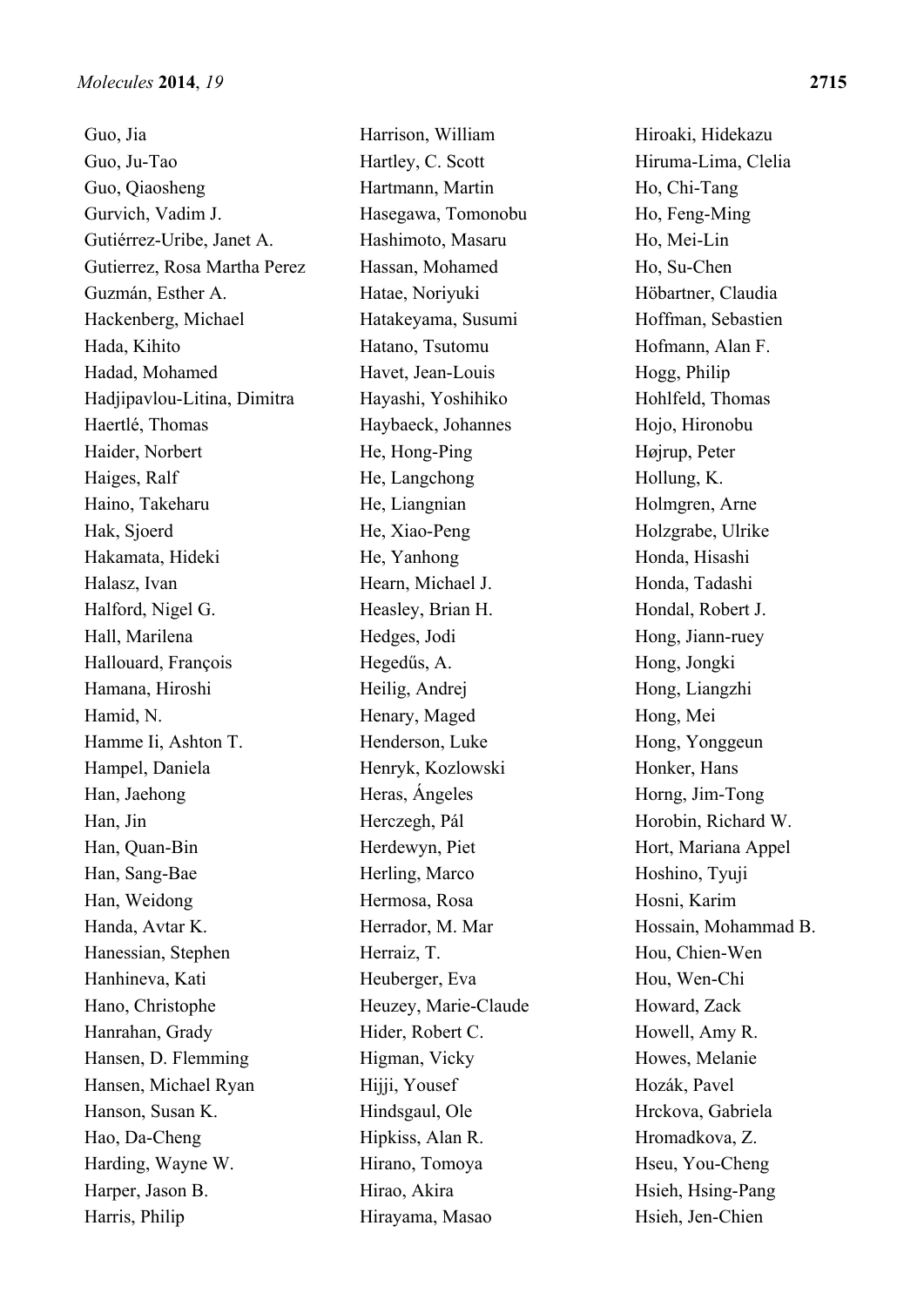Guo, Jia Guo, Ju-Tao Guo, Qiaosheng Gurvich, Vadim J. Gutiérrez-Uribe, Janet A. Gutierrez, Rosa Martha Perez Guzmán, Esther A. Hackenberg, Michael Hada, Kihito Hadad, Mohamed Hadjipavlou-Litina, Dimitra Haertlé, Thomas Haider, Norbert Haiges, Ralf Haino, Takeharu Hak, Sjoerd Hakamata, Hideki Halasz, Ivan Halford, Nigel G. Hall, Marilena Hallouard, François Hamana, Hiroshi Hamid, N. Hamme Ii, Ashton T. Hampel, Daniela Han, Jaehong Han, Jin Han, Quan-Bin Han, Sang-Bae Han, Weidong Handa, Avtar K. Hanessian, Stephen Hanhineva, Kati Hano, Christophe Hanrahan, Grady Hansen, D. Flemming Hansen, Michael Ryan Hanson, Susan K. Hao, Da-Cheng Harding, Wayne W. Harper, Jason B. Harris, Philip

Harrison, William Hartley, C. Scott Hartmann, Martin Hasegawa, Tomonobu Hashimoto, Masaru Hassan, Mohamed Hatae, Noriyuki Hatakeyama, Susumi Hatano, Tsutomu Havet, Jean-Louis Hayashi, Yoshihiko Haybaeck, Johannes He, Hong-Ping He, Langchong He, Liangnian He, Xiao-Peng He, Yanhong Hearn, Michael J. Heasley, Brian H. Hedges, Jodi Hegedűs, A. Heilig, Andrej Henary, Maged Henderson, Luke Henryk, Kozlowski Heras, Ángeles Herczegh, Pál Herdewyn, Piet Herling, Marco Hermosa, Rosa Herrador, M. Mar Herraiz, T. Heuberger, Eva Heuzey, Marie-Claude Hider, Robert C. Higman, Vicky Hijji, Yousef Hindsgaul, Ole Hipkiss, Alan R. Hirano, Tomoya Hirao, Akira Hirayama, Masao

Hiroaki, Hidekazu Hiruma-Lima, Clelia Ho, Chi-Tang Ho, Feng-Ming Ho, Mei-Lin Ho, Su-Chen Höbartner, Claudia Hoffman, Sebastien Hofmann, Alan F. Hogg, Philip Hohlfeld, Thomas Hojo, Hironobu Højrup, Peter Hollung, K. Holmgren, Arne Holzgrabe, Ulrike Honda, Hisashi Honda, Tadashi Hondal, Robert J. Hong, Jiann-ruey Hong, Jongki Hong, Liangzhi Hong, Mei Hong, Yonggeun Honker, Hans Horng, Jim-Tong Horobin, Richard W. Hort, Mariana Appel Hoshino, Tyuji Hosni, Karim Hossain, Mohammad B. Hou, Chien-Wen Hou, Wen-Chi Howard, Zack Howell, Amy R. Howes, Melanie Hozák, Pavel Hrckova, Gabriela Hromadkova, Z. Hseu, You-Cheng Hsieh, Hsing-Pang Hsieh, Jen-Chien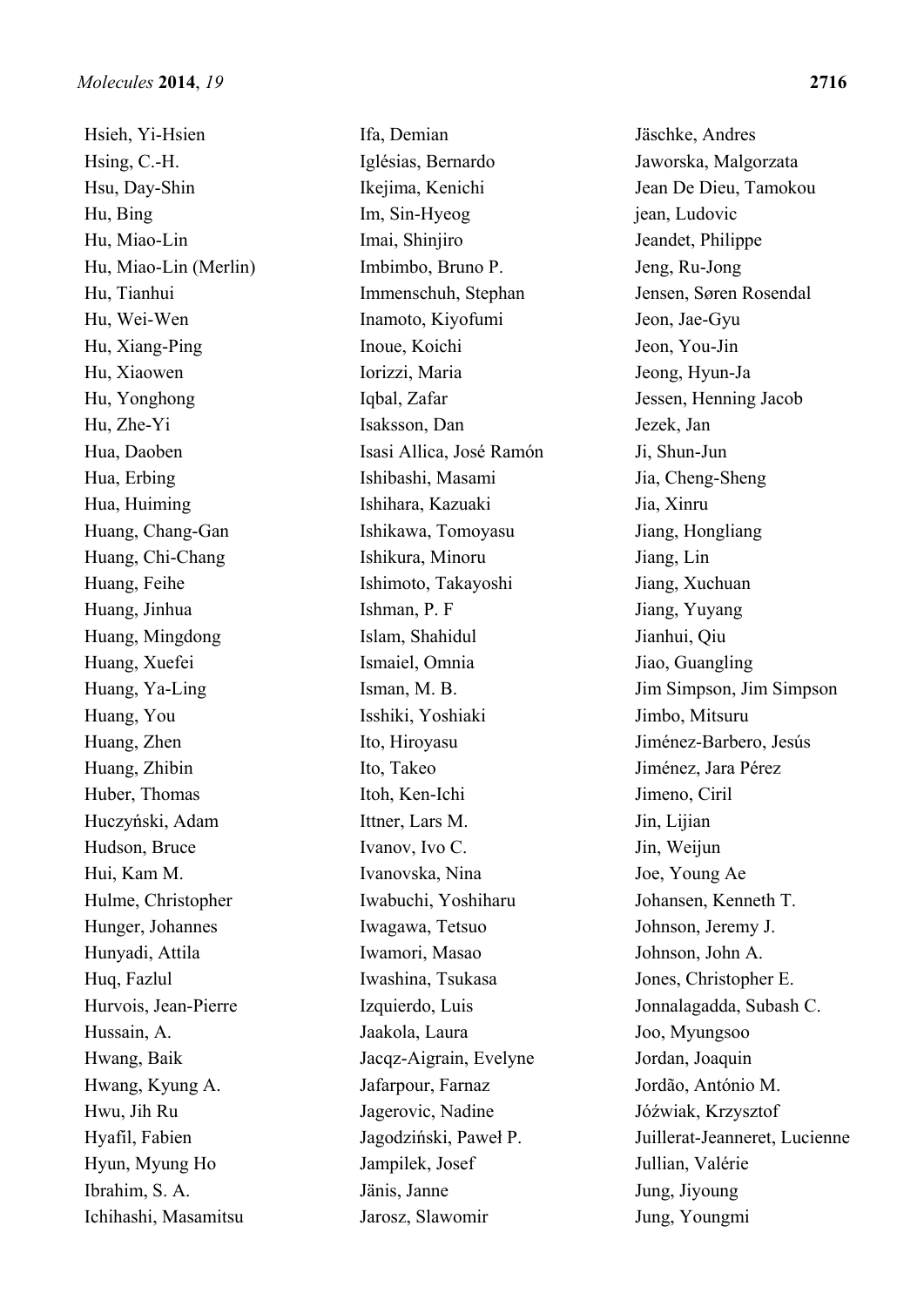Hsieh, Yi-Hsien Hsing, C.-H. Hsu, Day-Shin Hu, Bing Hu, Miao-Lin Hu, Miao-Lin (Merlin) Hu, Tianhui Hu, Wei-Wen Hu, Xiang-Ping Hu, Xiaowen Hu, Yonghong Hu, Zhe-Yi Hua, Daoben Hua, Erbing Hua, Huiming Huang, Chang-Gan Huang, Chi-Chang Huang, Feihe Huang, Jinhua Huang, Mingdong Huang, Xuefei Huang, Ya-Ling Huang, You Huang, Zhen Huang, Zhibin Huber, Thomas Huczyński, Adam Hudson, Bruce Hui, Kam M. Hulme, Christopher Hunger, Johannes Hunyadi, Attila Huq, Fazlul Hurvois, Jean-Pierre Hussain, A. Hwang, Baik Hwang, Kyung A. Hwu, Jih Ru Hyafil, Fabien Hyun, Myung Ho Ibrahim, S. A. Ichihashi, Masamitsu

Ifa, Demian Iglésias, Bernardo Ikejima, Kenichi Im, Sin-Hyeog Imai, Shinjiro Imbimbo, Bruno P. Immenschuh, Stephan Inamoto, Kiyofumi Inoue, Koichi Iorizzi, Maria Iqbal, Zafar Isaksson, Dan Isasi Allica, José Ramón Ishibashi, Masami Ishihara, Kazuaki Ishikawa, Tomoyasu Ishikura, Minoru Ishimoto, Takayoshi Ishman, P. F Islam, Shahidul Ismaiel, Omnia Isman, M. B. Isshiki, Yoshiaki Ito, Hiroyasu Ito, Takeo Itoh, Ken-Ichi Ittner, Lars M. Ivanov, Ivo C. Ivanovska, Nina Iwabuchi, Yoshiharu Iwagawa, Tetsuo Iwamori, Masao Iwashina, Tsukasa Izquierdo, Luis Jaakola, Laura Jacqz-Aigrain, Evelyne Jafarpour, Farnaz Jagerovic, Nadine Jagodziński, Paweł P. Jampilek, Josef Jänis, Janne Jarosz, Slawomir

Jäschke, Andres Jaworska, Malgorzata Jean De Dieu, Tamokou jean, Ludovic Jeandet, Philippe Jeng, Ru-Jong Jensen, Søren Rosendal Jeon, Jae-Gyu Jeon, You-Jin Jeong, Hyun-Ja Jessen, Henning Jacob Jezek, Jan Ji, Shun-Jun Jia, Cheng-Sheng Jia, Xinru Jiang, Hongliang Jiang, Lin Jiang, Xuchuan Jiang, Yuyang Jianhui, Qiu Jiao, Guangling Jim Simpson, Jim Simpson Jimbo, Mitsuru Jiménez-Barbero, Jesús Jiménez, Jara Pérez Jimeno, Ciril Jin, Lijian Jin, Weijun Joe, Young Ae Johansen, Kenneth T. Johnson, Jeremy J. Johnson, John A. Jones, Christopher E. Jonnalagadda, Subash C. Joo, Myungsoo Jordan, Joaquin Jordão, António M. Jóźwiak, Krzysztof Juillerat-Jeanneret, Lucienne Jullian, Valérie Jung, Jiyoung Jung, Youngmi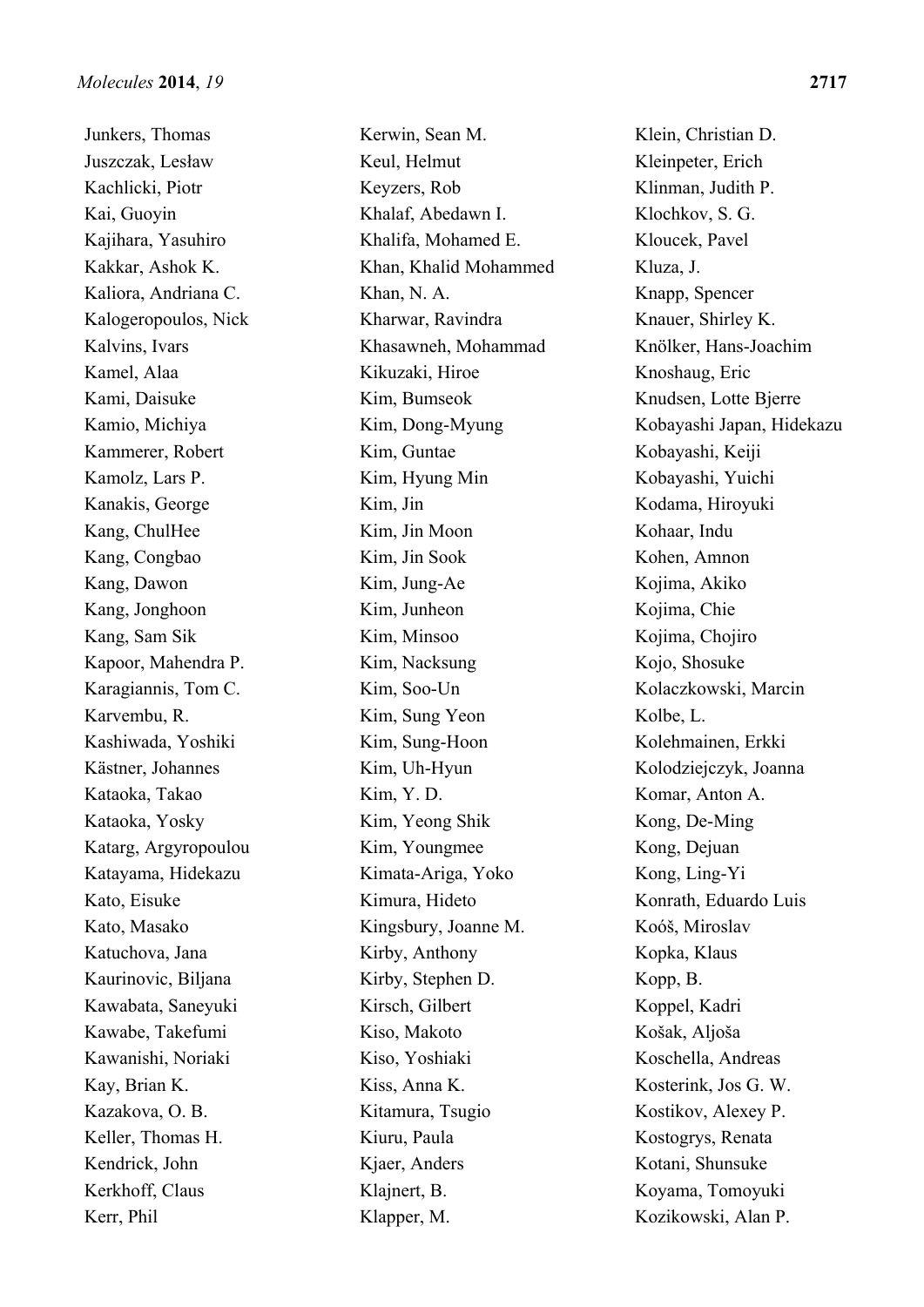Junkers, Thomas Juszczak, Lesław Kachlicki, Piotr Kai, Guoyin Kajihara, Yasuhiro Kakkar, Ashok K. Kaliora, Andriana C. Kalogeropoulos, Nick Kalvins, Ivars Kamel, Alaa Kami, Daisuke Kamio, Michiya Kammerer, Robert Kamolz, Lars P. Kanakis, George Kang, ChulHee Kang, Congbao Kang, Dawon Kang, Jonghoon Kang, Sam Sik Kapoor, Mahendra P. Karagiannis, Tom C. Karvembu, R. Kashiwada, Yoshiki Kästner, Johannes Kataoka, Takao Kataoka, Yosky Katarg, Argyropoulou Katayama, Hidekazu Kato, Eisuke Kato, Masako Katuchova, Jana Kaurinovic, Biljana Kawabata, Saneyuki Kawabe, Takefumi Kawanishi, Noriaki Kay, Brian K. Kazakova, O. B. Keller, Thomas H. Kendrick, John Kerkhoff, Claus Kerr, Phil

Kerwin, Sean M. Keul, Helmut Keyzers, Rob Khalaf, Abedawn I. Khalifa, Mohamed E. Khan, Khalid Mohammed Khan, N. A. Kharwar, Ravindra Khasawneh, Mohammad Kikuzaki, Hiroe Kim, Bumseok Kim, Dong-Myung Kim, Guntae Kim, Hyung Min Kim, Jin Kim, Jin Moon Kim, Jin Sook Kim, Jung-Ae Kim, Junheon Kim, Minsoo Kim, Nacksung Kim, Soo-Un Kim, Sung Yeon Kim, Sung-Hoon Kim, Uh-Hyun Kim, Y. D. Kim, Yeong Shik Kim, Youngmee Kimata-Ariga, Yoko Kimura, Hideto Kingsbury, Joanne M. Kirby, Anthony Kirby, Stephen D. Kirsch, Gilbert Kiso, Makoto Kiso, Yoshiaki Kiss, Anna K. Kitamura, Tsugio Kiuru, Paula Kjaer, Anders Klajnert, B. Klapper, M.

Klein, Christian D. Kleinpeter, Erich Klinman, Judith P. Klochkov, S. G. Kloucek, Pavel Kluza, J. Knapp, Spencer Knauer, Shirley K. Knölker, Hans-Joachim Knoshaug, Eric Knudsen, Lotte Bjerre Kobayashi Japan, Hidekazu Kobayashi, Keiji Kobayashi, Yuichi Kodama, Hiroyuki Kohaar, Indu Kohen, Amnon Kojima, Akiko Kojima, Chie Kojima, Chojiro Kojo, Shosuke Kolaczkowski, Marcin Kolbe, L. Kolehmainen, Erkki Kolodziejczyk, Joanna Komar, Anton A. Kong, De-Ming Kong, Dejuan Kong, Ling-Yi Konrath, Eduardo Luis Koóš, Miroslav Kopka, Klaus Kopp, B. Koppel, Kadri Košak, Aljoša Koschella, Andreas Kosterink, Jos G. W. Kostikov, Alexey P. Kostogrys, Renata Kotani, Shunsuke Koyama, Tomoyuki Kozikowski, Alan P.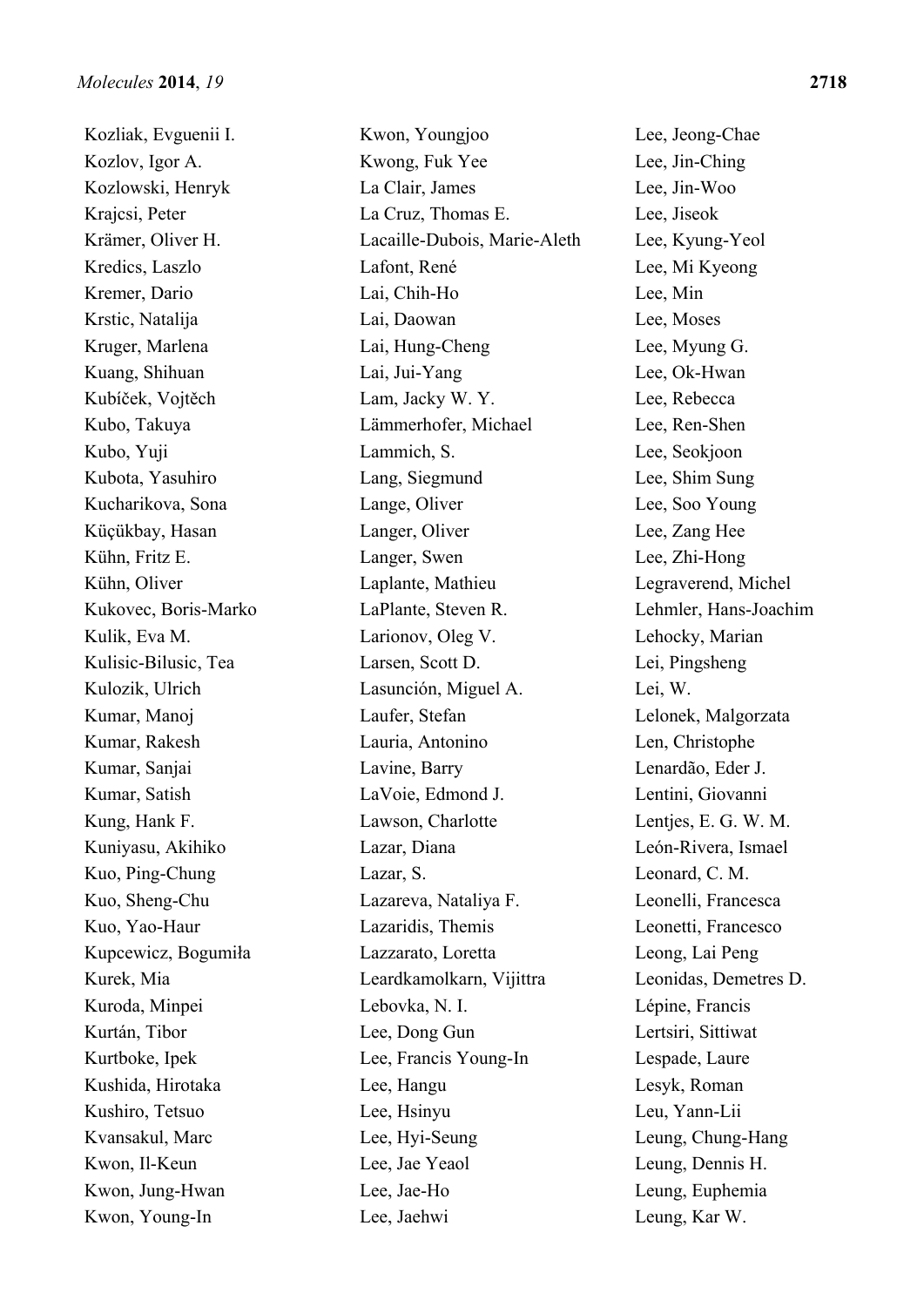Kozliak, Evguenii I. Kozlov, Igor A. Kozlowski, Henryk Krajcsi, Peter Krämer, Oliver H. Kredics, Laszlo Kremer, Dario Krstic, Natalija Kruger, Marlena Kuang, Shihuan Kubíček, Vojtěch Kubo, Takuya Kubo, Yuji Kubota, Yasuhiro Kucharikova, Sona Küçükbay, Hasan Kühn, Fritz E. Kühn, Oliver Kukovec, Boris-Marko Kulik, Eva M. Kulisic-Bilusic, Tea Kulozik, Ulrich Kumar, Manoj Kumar, Rakesh Kumar, Sanjai Kumar, Satish Kung, Hank F. Kuniyasu, Akihiko Kuo, Ping-Chung Kuo, Sheng-Chu Kuo, Yao-Haur Kupcewicz, Bogumiła Kurek, Mia Kuroda, Minpei Kurtán, Tibor Kurtboke, Ipek Kushida, Hirotaka Kushiro, Tetsuo Kvansakul, Marc Kwon, Il-Keun Kwon, Jung-Hwan Kwon, Young-In

Kwon, Youngjoo Kwong, Fuk Yee La Clair, James La Cruz, Thomas E. Lacaille-Dubois, Marie-Aleth Lafont, René Lai, Chih-Ho Lai, Daowan Lai, Hung-Cheng Lai, Jui-Yang Lam, Jacky W. Y. Lämmerhofer, Michael Lammich, S. Lang, Siegmund Lange, Oliver Langer, Oliver Langer, Swen Laplante, Mathieu LaPlante, Steven R. Larionov, Oleg V. Larsen, Scott D. Lasunción, Miguel A. Laufer, Stefan Lauria, Antonino Lavine, Barry LaVoie, Edmond J. Lawson, Charlotte Lazar, Diana Lazar, S. Lazareva, Nataliya F. Lazaridis, Themis Lazzarato, Loretta Leardkamolkarn, Vijittra Lebovka, N. I. Lee, Dong Gun Lee, Francis Young-In Lee, Hangu Lee, Hsinyu Lee, Hyi-Seung Lee, Jae Yeaol Lee, Jae-Ho Lee, Jaehwi

Lee, Jeong-Chae Lee, Jin-Ching Lee, Jin-Woo Lee, Jiseok Lee, Kyung-Yeol Lee, Mi Kyeong Lee, Min Lee, Moses Lee, Myung G. Lee, Ok-Hwan Lee, Rebecca Lee, Ren-Shen Lee, Seokjoon Lee, Shim Sung Lee, Soo Young Lee, Zang Hee Lee, Zhi-Hong Legraverend, Michel Lehmler, Hans-Joachim Lehocky, Marian Lei, Pingsheng Lei, W. Lelonek, Malgorzata Len, Christophe Lenardão, Eder J. Lentini, Giovanni Lentjes, E. G. W. M. León-Rivera, Ismael Leonard, C. M. Leonelli, Francesca Leonetti, Francesco Leong, Lai Peng Leonidas, Demetres D. Lépine, Francis Lertsiri, Sittiwat Lespade, Laure Lesyk, Roman Leu, Yann-Lii Leung, Chung-Hang Leung, Dennis H. Leung, Euphemia Leung, Kar W.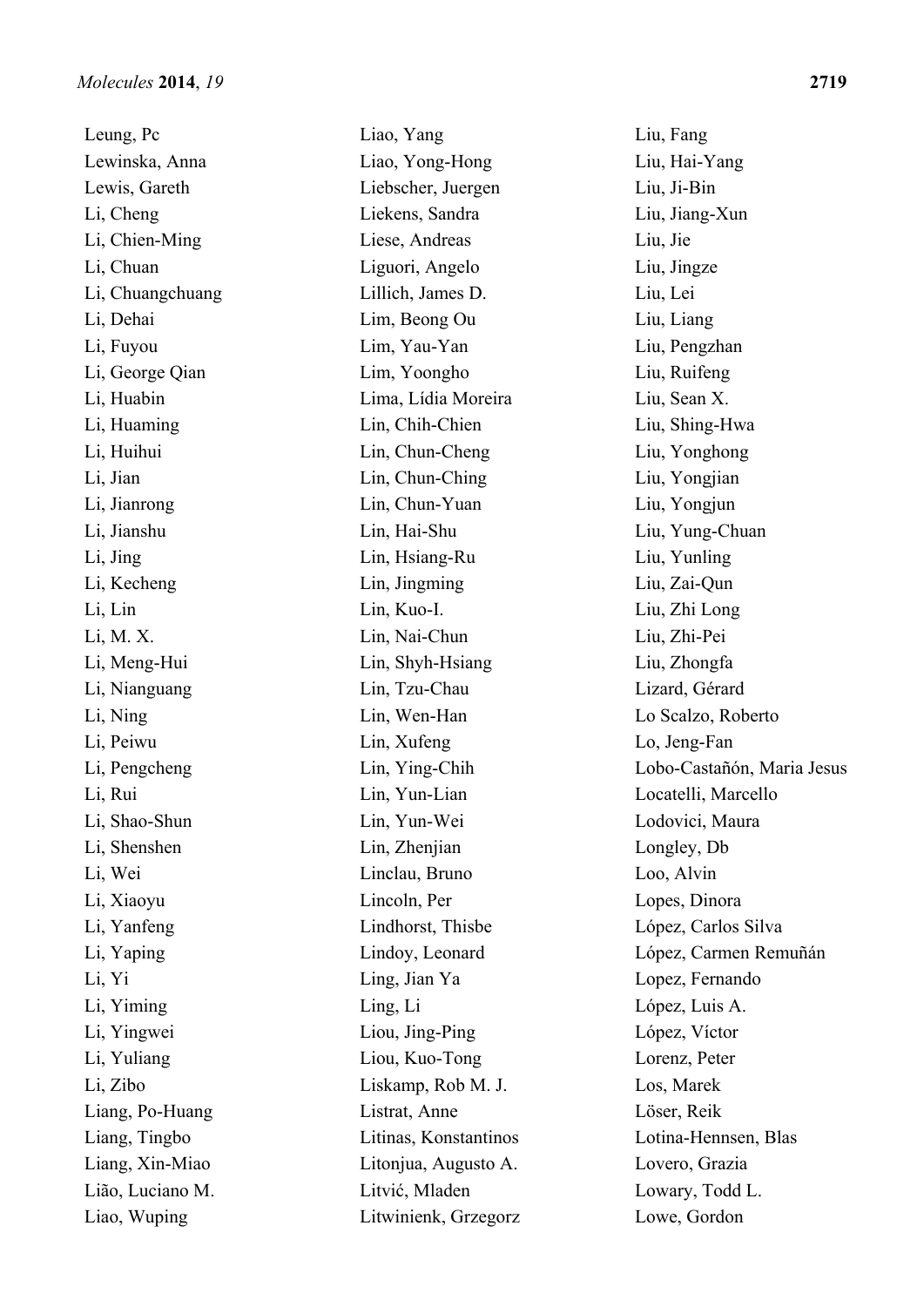Leung, Pc Lewinska, Anna Lewis, Gareth Li, Cheng Li, Chien-Ming Li, Chuan Li, Chuangchuang Li, Dehai Li, Fuyou Li, George Qian Li, Huabin Li, Huaming Li, Huihui Li, Jian Li, Jianrong Li, Jianshu Li, Jing Li, Kecheng Li, Lin Li, M. X. Li, Meng-Hui Li, Nianguang Li, Ning Li, Peiwu Li, Pengcheng Li, Rui Li, Shao-Shun Li, Shenshen Li, Wei Li, Xiaoyu Li, Yanfeng Li, Yaping Li, Yi Li, Yiming Li, Yingwei Li, Yuliang Li, Zibo Liang, Po-Huang Liang, Tingbo Liang, Xin-Miao Lião, Luciano M. Liao, Wuping

Liao, Yang Liao, Yong-Hong Liebscher, Juergen Liekens, Sandra Liese, Andreas Liguori, Angelo Lillich, James D. Lim, Beong Ou Lim, Yau-Yan Lim, Yoongho Lima, Lídia Moreira Lin, Chih-Chien Lin, Chun-Cheng Lin, Chun-Ching Lin, Chun-Yuan Lin, Hai-Shu Lin, Hsiang-Ru Lin, Jingming Lin, Kuo-I. Lin, Nai-Chun Lin, Shyh-Hsiang Lin, Tzu-Chau Lin, Wen-Han Lin, Xufeng Lin, Ying-Chih Lin, Yun-Lian Lin, Yun-Wei Lin, Zhenjian Linclau, Bruno Lincoln, Per Lindhorst, Thisbe Lindoy, Leonard Ling, Jian Ya Ling, Li Liou, Jing-Ping Liou, Kuo-Tong Liskamp, Rob M. J. Listrat, Anne Litinas, Konstantinos Litonjua, Augusto A. Litvić, Mladen Litwinienk, Grzegorz Liu, Fang Liu, Hai-Yang Liu, Ji-Bin Liu, Jiang-Xun Liu, Jie Liu, Jingze Liu, Lei Liu, Liang Liu, Pengzhan Liu, Ruifeng Liu, Sean X. Liu, Shing-Hwa Liu, Yonghong Liu, Yongjian Liu, Yongjun Liu, Yung-Chuan Liu, Yunling Liu, Zai-Qun Liu, Zhi Long Liu, Zhi-Pei Liu, Zhongfa Lizard, Gérard Lo Scalzo, Roberto Lo, Jeng-Fan Lobo-Castañón, Maria Jesus Locatelli, Marcello Lodovici, Maura Longley, Db Loo, Alvin Lopes, Dinora López, Carlos Silva López, Carmen Remuñán Lopez, Fernando López, Luis A. López, Víctor Lorenz, Peter Los, Marek Löser, Reik Lotina-Hennsen, Blas Lovero, Grazia Lowary, Todd L. Lowe, Gordon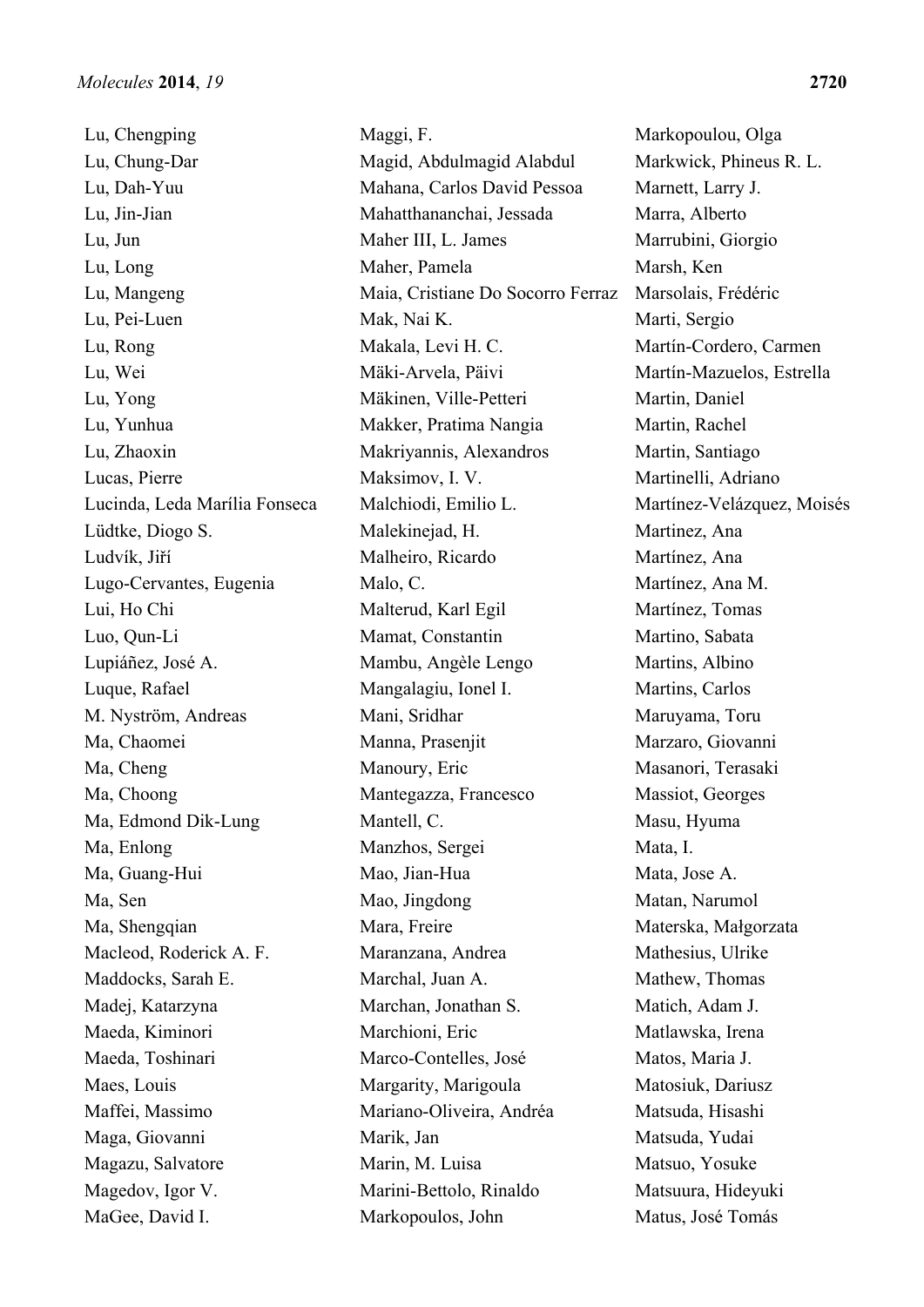Lu, Chengping Lu, Chung-Dar Lu, Dah-Yuu Lu, Jin-Jian Lu, Jun Lu, Long Lu, Mangeng Lu, Pei-Luen Lu, Rong Lu, Wei Lu, Yong Lu, Yunhua Lu, Zhaoxin Lucas, Pierre Lucinda, Leda Marília Fonseca Lüdtke, Diogo S. Ludvík, Jiří Lugo-Cervantes, Eugenia Lui, Ho Chi Luo, Qun-Li Lupiáñez, José A. Luque, Rafael M. Nyström, Andreas Ma, Chaomei Ma, Cheng Ma, Choong Ma, Edmond Dik-Lung Ma, Enlong Ma, Guang-Hui Ma, Sen Ma, Shengqian Macleod, Roderick A. F. Maddocks, Sarah E. Madej, Katarzyna Maeda, Kiminori Maeda, Toshinari Maes, Louis Maffei, Massimo Maga, Giovanni Magazu, Salvatore Magedov, Igor V. MaGee, David I.

Maggi, F. Magid, Abdulmagid Alabdul Mahana, Carlos David Pessoa Mahatthananchai, Jessada Maher III, L. James Maher, Pamela Maia, Cristiane Do Socorro Ferraz Mak, Nai K. Makala, Levi H. C. Mäki-Arvela, Päivi Mäkinen, Ville-Petteri Makker, Pratima Nangia Makriyannis, Alexandros Maksimov, I. V. Malchiodi, Emilio L. Malekinejad, H. Malheiro, Ricardo Malo, C. Malterud, Karl Egil Mamat, Constantin Mambu, Angèle Lengo Mangalagiu, Ionel I. Mani, Sridhar Manna, Prasenjit Manoury, Eric Mantegazza, Francesco Mantell, C. Manzhos, Sergei Mao, Jian-Hua Mao, Jingdong Mara, Freire Maranzana, Andrea Marchal, Juan A. Marchan, Jonathan S. Marchioni, Eric Marco-Contelles, José Margarity, Marigoula Mariano-Oliveira, Andréa Marik, Jan Marin, M. Luisa Marini-Bettolo, Rinaldo Markopoulos, John

Markopoulou, Olga Markwick, Phineus R. L. Marnett, Larry J. Marra, Alberto Marrubini, Giorgio Marsh, Ken Marsolais, Frédéric Marti, Sergio Martín-Cordero, Carmen Martín-Mazuelos, Estrella Martin, Daniel Martin, Rachel Martin, Santiago Martinelli, Adriano Martínez-Velázquez, Moisés Martinez, Ana Martínez, Ana Martínez, Ana M. Martínez, Tomas Martino, Sabata Martins, Albino Martins, Carlos Maruyama, Toru Marzaro, Giovanni Masanori, Terasaki Massiot, Georges Masu, Hyuma Mata, I. Mata, Jose A. Matan, Narumol Materska, Małgorzata Mathesius, Ulrike Mathew, Thomas Matich, Adam J. Matlawska, Irena Matos, Maria J. Matosiuk, Dariusz Matsuda, Hisashi Matsuda, Yudai Matsuo, Yosuke Matsuura, Hideyuki Matus, José Tomás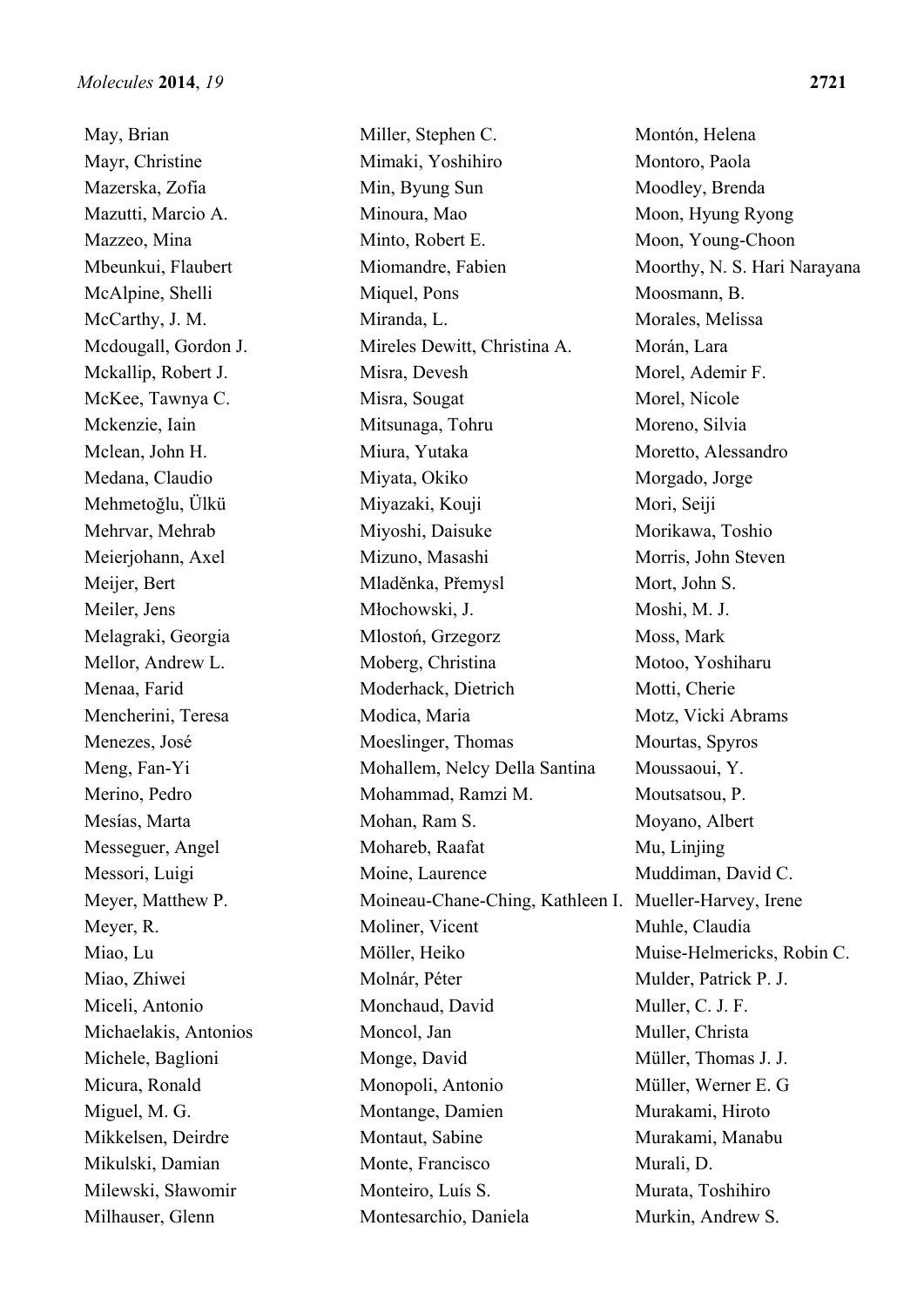May, Brian Mayr, Christine Mazerska, Zofia Mazutti, Marcio A. Mazzeo, Mina Mbeunkui, Flaubert McAlpine, Shelli McCarthy, J. M. Mcdougall, Gordon J. Mckallip, Robert J. McKee, Tawnya C. Mckenzie, Iain Mclean, John H. Medana, Claudio Mehmetoğlu, Ülkü Mehrvar, Mehrab Meierjohann, Axel Meijer, Bert Meiler, Jens Melagraki, Georgia Mellor, Andrew L. Menaa, Farid Mencherini, Teresa Menezes, José Meng, Fan-Yi Merino, Pedro Mesías, Marta Messeguer, Angel Messori, Luigi Meyer, Matthew P. Meyer, R. Miao, Lu Miao, Zhiwei Miceli, Antonio Michaelakis, Antonios Michele, Baglioni Micura, Ronald Miguel, M. G. Mikkelsen, Deirdre Mikulski, Damian Milewski, Sławomir Milhauser, Glenn

Miller, Stephen C. Mimaki, Yoshihiro Min, Byung Sun Minoura, Mao Minto, Robert E. Miomandre, Fabien Miquel, Pons Miranda, L. Mireles Dewitt, Christina A. Misra, Devesh Misra, Sougat Mitsunaga, Tohru Miura, Yutaka Miyata, Okiko Miyazaki, Kouji Miyoshi, Daisuke Mizuno, Masashi Mladěnka, Přemysl Młochowski, J. Mlostoń, Grzegorz Moberg, Christina Moderhack, Dietrich Modica, Maria Moeslinger, Thomas Mohallem, Nelcy Della Santina Mohammad, Ramzi M. Mohan, Ram S. Mohareb, Raafat Moine, Laurence Moineau-Chane-Ching, Kathleen I. Mueller-Harvey, Irene Moliner, Vicent Möller, Heiko Molnár, Péter Monchaud, David Moncol, Jan Monge, David Monopoli, Antonio Montange, Damien Montaut, Sabine Monte, Francisco Monteiro, Luís S. Montesarchio, Daniela

Montón, Helena Montoro, Paola Moodley, Brenda Moon, Hyung Ryong Moon, Young-Choon Moorthy, N. S. Hari Narayana Moosmann, B. Morales, Melissa Morán, Lara Morel, Ademir F. Morel, Nicole Moreno, Silvia Moretto, Alessandro Morgado, Jorge Mori, Seiji Morikawa, Toshio Morris, John Steven Mort, John S. Moshi, M. J. Moss, Mark Motoo, Yoshiharu Motti, Cherie Motz, Vicki Abrams Mourtas, Spyros Moussaoui, Y. Moutsatsou, P. Moyano, Albert Mu, Linjing Muddiman, David C. Muhle, Claudia Muise-Helmericks, Robin C. Mulder, Patrick P. J. Muller, C. J. F. Muller, Christa Müller, Thomas J. J. Müller, Werner E. G Murakami, Hiroto Murakami, Manabu Murali, D. Murata, Toshihiro Murkin, Andrew S.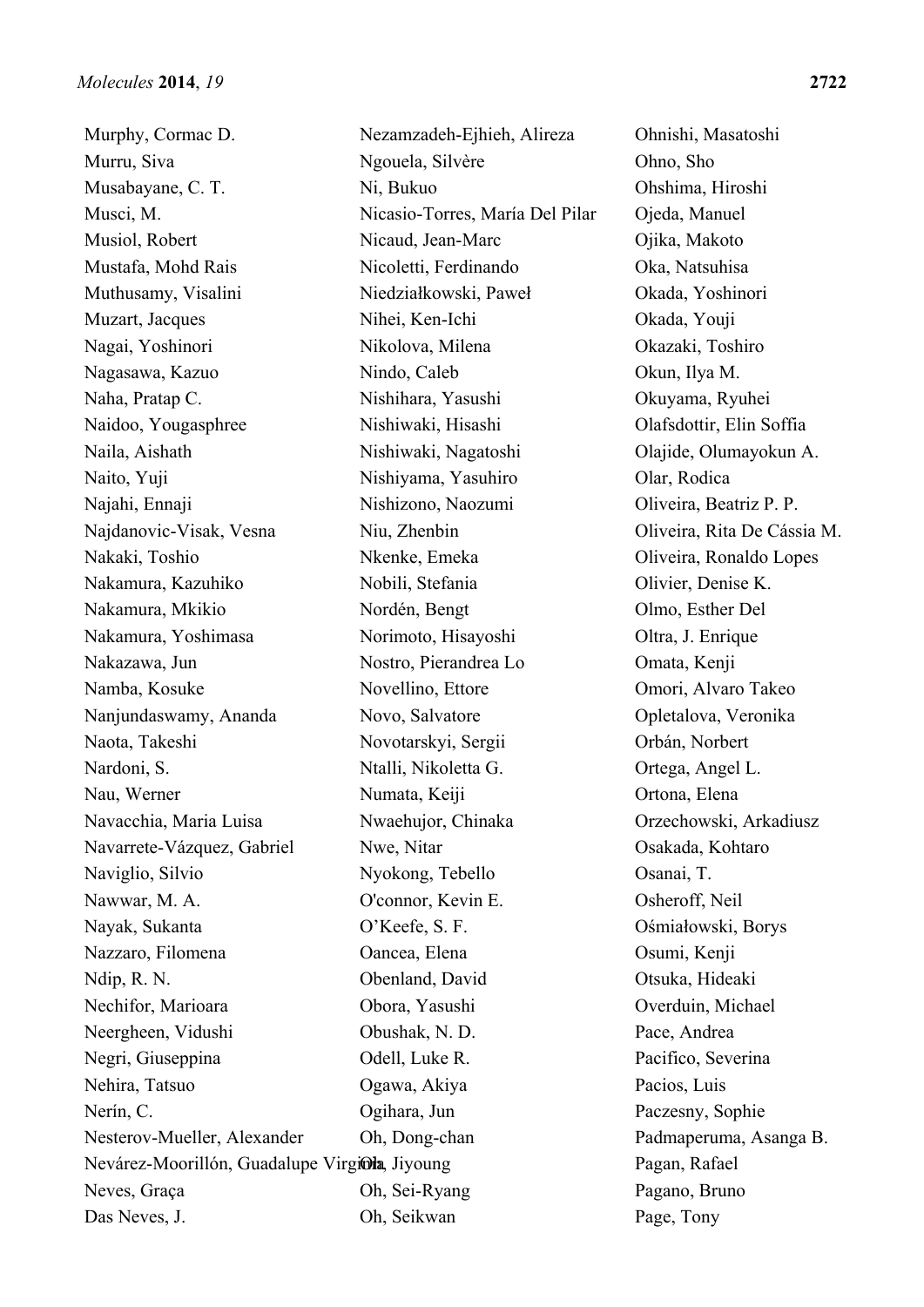Murphy, Cormac D. Murru, Siva Musabayane, C. T. Musci, M. Musiol, Robert Mustafa, Mohd Rais Muthusamy, Visalini Muzart, Jacques Nagai, Yoshinori Nagasawa, Kazuo Naha, Pratap C. Naidoo, Yougasphree Naila, Aishath Naito, Yuji Najahi, Ennaji Najdanovic-Visak, Vesna Nakaki, Toshio Nakamura, Kazuhiko Nakamura, Mkikio Nakamura, Yoshimasa Nakazawa, Jun Namba, Kosuke Nanjundaswamy, Ananda Naota, Takeshi Nardoni, S. Nau, Werner Navacchia, Maria Luisa Navarrete-Vázquez, Gabriel Naviglio, Silvio Nawwar, M. A. Nayak, Sukanta Nazzaro, Filomena Ndip, R. N. Nechifor, Marioara Neergheen, Vidushi Negri, Giuseppina Nehira, Tatsuo Nerín, C. Nesterov-Mueller, Alexander Nevárez-Moorillón, Guadalupe Virgioha, Jiyoung Neves, Graça Das Neves, J.

Nezamzadeh-Ejhieh, Alireza Ngouela, Silvère Ni, Bukuo Nicasio-Torres, María Del Pilar Nicaud, Jean-Marc Nicoletti, Ferdinando Niedziałkowski, Paweł Nihei, Ken-Ichi Nikolova, Milena Nindo, Caleb Nishihara, Yasushi Nishiwaki, Hisashi Nishiwaki, Nagatoshi Nishiyama, Yasuhiro Nishizono, Naozumi Niu, Zhenbin Nkenke, Emeka Nobili, Stefania Nordén, Bengt Norimoto, Hisayoshi Nostro, Pierandrea Lo Novellino, Ettore Novo, Salvatore Novotarskyi, Sergii Ntalli, Nikoletta G. Numata, Keiji Nwaehujor, Chinaka Nwe, Nitar Nyokong, Tebello O'connor, Kevin E. O'Keefe, S. F. Oancea, Elena Obenland, David Obora, Yasushi Obushak, N. D. Odell, Luke R. Ogawa, Akiya Ogihara, Jun Oh, Dong-chan Oh, Sei-Ryang Oh, Seikwan

Ohnishi, Masatoshi Ohno, Sho Ohshima, Hiroshi Ojeda, Manuel Ojika, Makoto Oka, Natsuhisa Okada, Yoshinori Okada, Youji Okazaki, Toshiro Okun, Ilya M. Okuyama, Ryuhei Olafsdottir, Elin Soffia Olajide, Olumayokun A. Olar, Rodica Oliveira, Beatriz P. P. Oliveira, Rita De Cássia M. Oliveira, Ronaldo Lopes Olivier, Denise K. Olmo, Esther Del Oltra, J. Enrique Omata, Kenji Omori, Alvaro Takeo Opletalova, Veronika Orbán, Norbert Ortega, Angel L. Ortona, Elena Orzechowski, Arkadiusz Osakada, Kohtaro Osanai, T. Osheroff, Neil Ośmiałowski, Borys Osumi, Kenji Otsuka, Hideaki Overduin, Michael Pace, Andrea Pacifico, Severina Pacios, Luis Paczesny, Sophie Padmaperuma, Asanga B. Pagan, Rafael Pagano, Bruno Page, Tony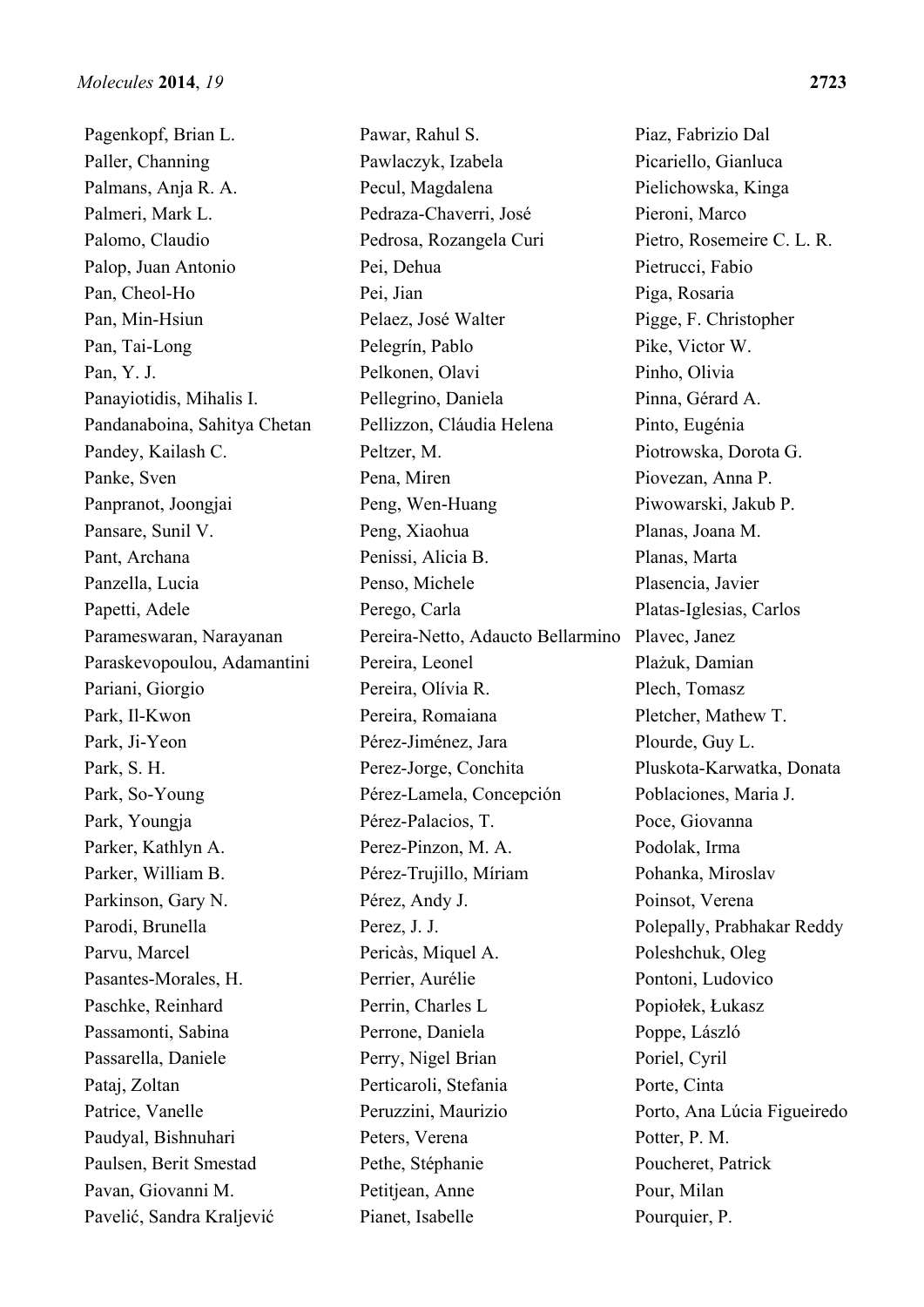Pagenkopf, Brian L. Paller, Channing Palmans, Anja R. A. Palmeri, Mark L. Palomo, Claudio Palop, Juan Antonio Pan, Cheol-Ho Pan, Min-Hsiun Pan, Tai-Long Pan, Y. J. Panayiotidis, Mihalis I. Pandanaboina, Sahitya Chetan Pandey, Kailash C. Panke, Sven Panpranot, Joongjai Pansare, Sunil V. Pant, Archana Panzella, Lucia Papetti, Adele Parameswaran, Narayanan Paraskevopoulou, Adamantini Pariani, Giorgio Park, Il-Kwon Park, Ji-Yeon Park, S. H. Park, So-Young Park, Youngja Parker, Kathlyn A. Parker, William B. Parkinson, Gary N. Parodi, Brunella Parvu, Marcel Pasantes-Morales, H. Paschke, Reinhard Passamonti, Sabina Passarella, Daniele Pataj, Zoltan Patrice, Vanelle Paudyal, Bishnuhari Paulsen, Berit Smestad Pavan, Giovanni M. Pavelić, Sandra Kraljević

Pawar, Rahul S. Pawlaczyk, Izabela Pecul, Magdalena Pedraza-Chaverri, José Pedrosa, Rozangela Curi Pei, Dehua Pei, Jian Pelaez, José Walter Pelegrín, Pablo Pelkonen, Olavi Pellegrino, Daniela Pellizzon, Cláudia Helena Peltzer, M. Pena, Miren Peng, Wen-Huang Peng, Xiaohua Penissi, Alicia B. Penso, Michele Perego, Carla Pereira-Netto, Adaucto Bellarmino Plavec, Janez Pereira, Leonel Pereira, Olívia R. Pereira, Romaiana Pérez-Jiménez, Jara Perez-Jorge, Conchita Pérez-Lamela, Concepción Pérez-Palacios, T. Perez-Pinzon, M. A. Pérez-Trujillo, Míriam Pérez, Andy J. Perez, J. J. Pericàs, Miquel A. Perrier, Aurélie Perrin, Charles L Perrone, Daniela Perry, Nigel Brian Perticaroli, Stefania Peruzzini, Maurizio Peters, Verena Pethe, Stéphanie Petitjean, Anne Pianet, Isabelle

Piaz, Fabrizio Dal Picariello, Gianluca Pielichowska, Kinga Pieroni, Marco Pietro, Rosemeire C. L. R. Pietrucci, Fabio Piga, Rosaria Pigge, F. Christopher Pike, Victor W. Pinho, Olivia Pinna, Gérard A. Pinto, Eugénia Piotrowska, Dorota G. Piovezan, Anna P. Piwowarski, Jakub P. Planas, Joana M. Planas, Marta Plasencia, Javier Platas-Iglesias, Carlos Plażuk, Damian Plech, Tomasz Pletcher, Mathew T. Plourde, Guy L. Pluskota-Karwatka, Donata Poblaciones, Maria J. Poce, Giovanna Podolak, Irma Pohanka, Miroslav Poinsot, Verena Polepally, Prabhakar Reddy Poleshchuk, Oleg Pontoni, Ludovico Popiołek, Łukasz Poppe, László Poriel, Cyril Porte, Cinta Porto, Ana Lúcia Figueiredo Potter, P. M. Poucheret, Patrick Pour, Milan Pourquier, P.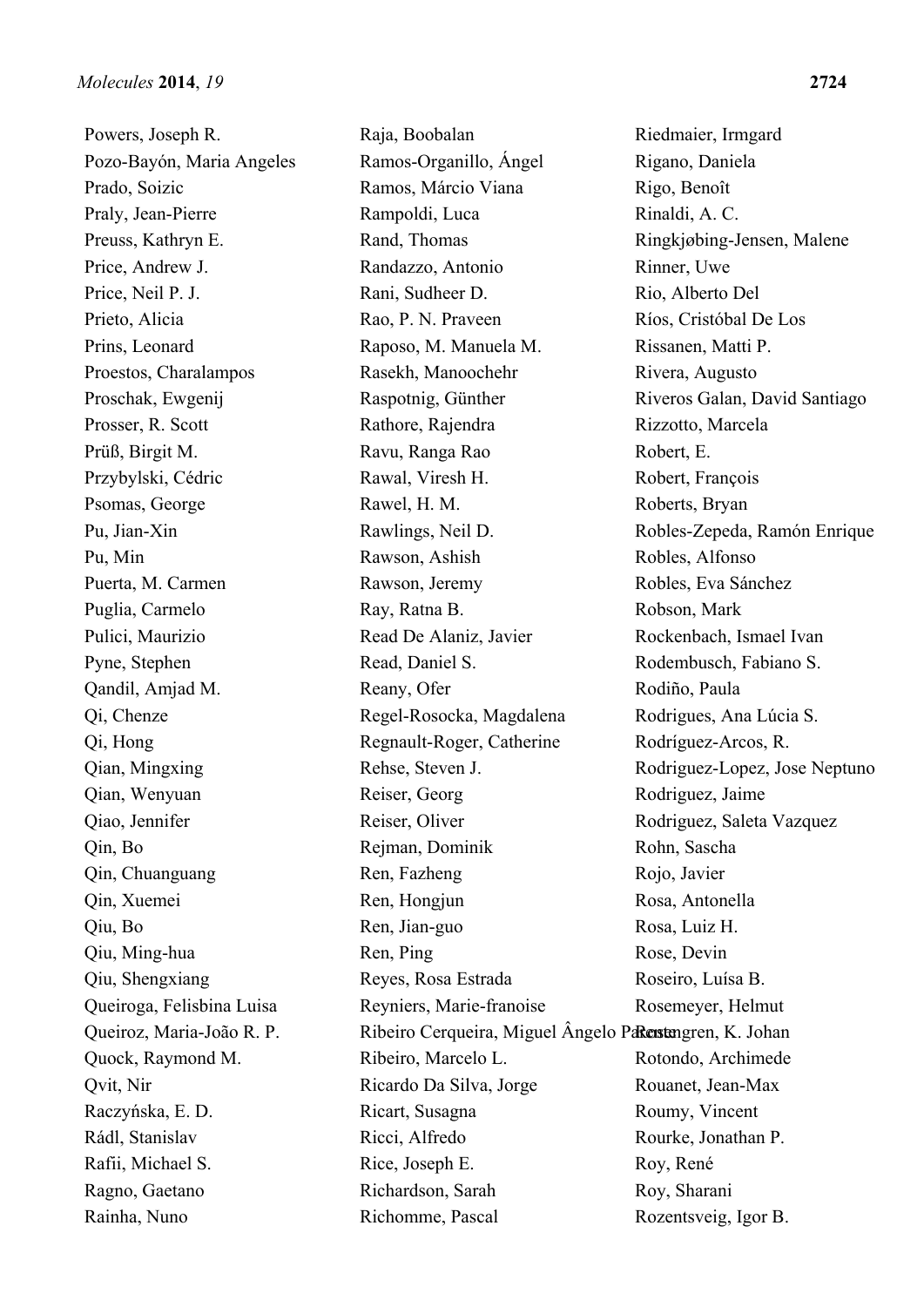Powers, Joseph R. Pozo-Bayón, Maria Angeles Prado, Soizic Praly, Jean-Pierre Preuss, Kathryn E. Price, Andrew J. Price, Neil P. J. Prieto, Alicia Prins, Leonard Proestos, Charalampos Proschak, Ewgenij Prosser, R. Scott Prüß, Birgit M. Przybylski, Cédric Psomas, George Pu, Jian-Xin Pu, Min Puerta, M. Carmen Puglia, Carmelo Pulici, Maurizio Pyne, Stephen Qandil, Amjad M. Qi, Chenze Qi, Hong Qian, Mingxing Qian, Wenyuan Qiao, Jennifer Qin, Bo Qin, Chuanguang Qin, Xuemei Qiu, Bo Qiu, Ming-hua Qiu, Shengxiang Queiroga, Felisbina Luisa Queiroz, Maria-João R. P. Quock, Raymond M. Qvit, Nir Raczyńska, E. D. Rádl, Stanislav Rafii, Michael S. Ragno, Gaetano Rainha, Nuno

Raja, Boobalan Ramos-Organillo, Ángel Ramos, Márcio Viana Rampoldi, Luca Rand, Thomas Randazzo, Antonio Rani, Sudheer D. Rao, P. N. Praveen Raposo, M. Manuela M. Rasekh, Manoochehr Raspotnig, Günther Rathore, Rajendra Ravu, Ranga Rao Rawal, Viresh H. Rawel, H. M. Rawlings, Neil D. Rawson, Ashish Rawson, Jeremy Ray, Ratna B. Read De Alaniz, Javier Read, Daniel S. Reany, Ofer Regel-Rosocka, Magdalena Regnault-Roger, Catherine Rehse, Steven J. Reiser, Georg Reiser, Oliver Rejman, Dominik Ren, Fazheng Ren, Hongjun Ren, Jian-guo Ren, Ping Reyes, Rosa Estrada Reyniers, Marie-franoise Ribeiro Cerqueira, Miguel Ângelo PaRenstengren, K. Johan Ribeiro, Marcelo L. Ricardo Da Silva, Jorge Ricart, Susagna Ricci, Alfredo Rice, Joseph E. Richardson, Sarah Richomme, Pascal

Riedmaier, Irmgard Rigano, Daniela Rigo, Benoît Rinaldi, A. C. Ringkjøbing-Jensen, Malene Rinner, Uwe Rio, Alberto Del Ríos, Cristóbal De Los Rissanen, Matti P. Rivera, Augusto Riveros Galan, David Santiago Rizzotto, Marcela Robert, E. Robert, François Roberts, Bryan Robles-Zepeda, Ramón Enrique Robles, Alfonso Robles, Eva Sánchez Robson, Mark Rockenbach, Ismael Ivan Rodembusch, Fabiano S. Rodiño, Paula Rodrigues, Ana Lúcia S. Rodríguez-Arcos, R. Rodriguez-Lopez, Jose Neptuno Rodriguez, Jaime Rodriguez, Saleta Vazquez Rohn, Sascha Rojo, Javier Rosa, Antonella Rosa, Luiz H. Rose, Devin Roseiro, Luísa B. Rosemeyer, Helmut Rotondo, Archimede Rouanet, Jean-Max Roumy, Vincent Rourke, Jonathan P. Roy, René Roy, Sharani Rozentsveig, Igor B.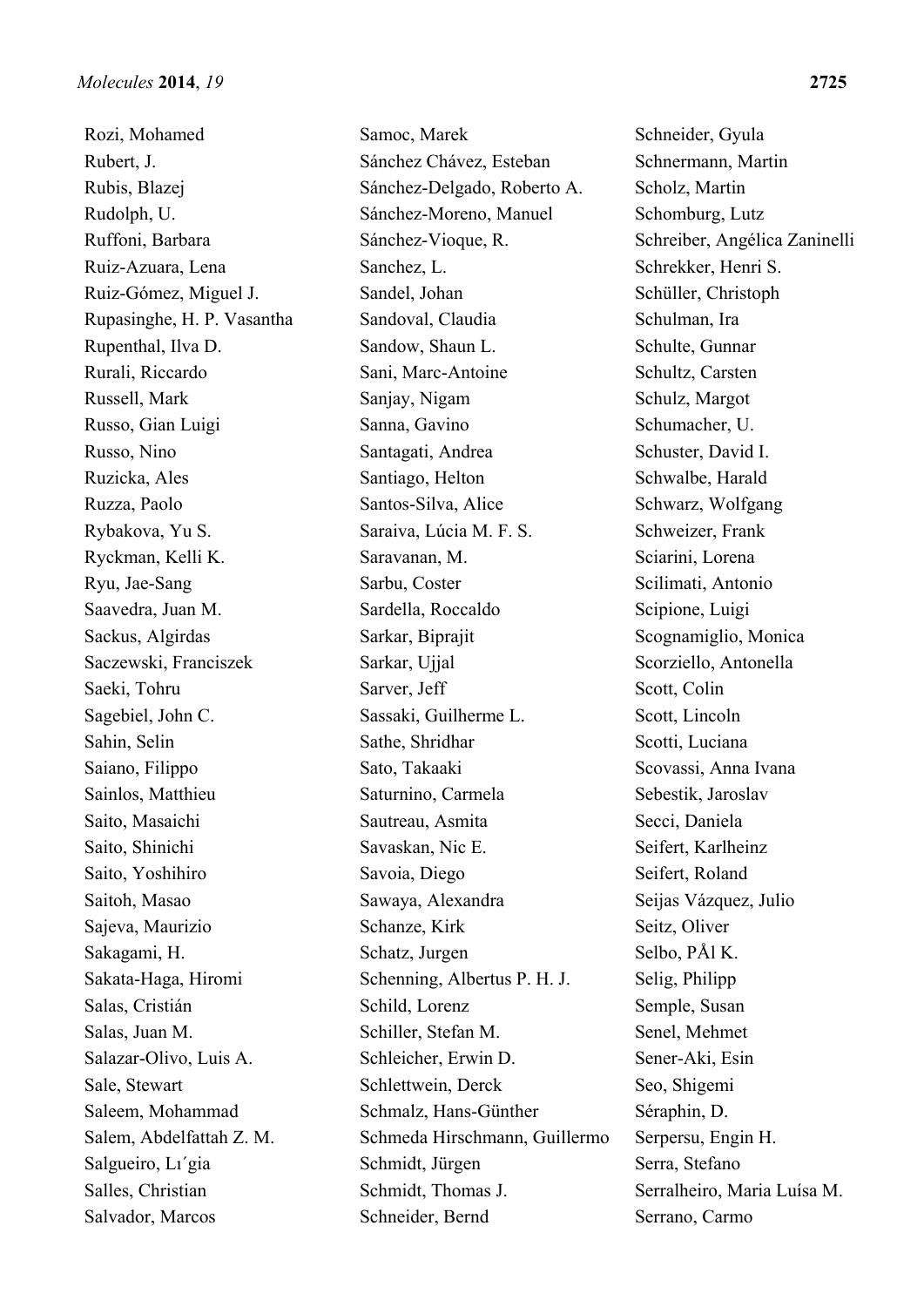Rozi, Mohamed Rubert, J. Rubis, Blazej Rudolph, U. Ruffoni, Barbara Ruiz-Azuara, Lena Ruiz-Gómez, Miguel J. Rupasinghe, H. P. Vasantha Rupenthal, Ilva D. Rurali, Riccardo Russell, Mark Russo, Gian Luigi Russo, Nino Ruzicka, Ales Ruzza, Paolo Rybakova, Yu S. Ryckman, Kelli K. Ryu, Jae-Sang Saavedra, Juan M. Sackus, Algirdas Saczewski, Franciszek Saeki, Tohru Sagebiel, John C. Sahin, Selin Saiano, Filippo Sainlos, Matthieu Saito, Masaichi Saito, Shinichi Saito, Yoshihiro Saitoh, Masao Sajeva, Maurizio Sakagami, H. Sakata-Haga, Hiromi Salas, Cristián Salas, Juan M. Salazar-Olivo, Luis A. Sale, Stewart Saleem, Mohammad Salem, Abdelfattah Z. M. Salgueiro, Lı´gia Salles, Christian Salvador, Marcos

Samoc, Marek Sánchez Chávez, Esteban Sánchez-Delgado, Roberto A. Sánchez-Moreno, Manuel Sánchez-Vioque, R. Sanchez, L. Sandel, Johan Sandoval, Claudia Sandow, Shaun L. Sani, Marc-Antoine Sanjay, Nigam Sanna, Gavino Santagati, Andrea Santiago, Helton Santos-Silva, Alice Saraiva, Lúcia M. F. S. Saravanan, M. Sarbu, Coster Sardella, Roccaldo Sarkar, Biprajit Sarkar, Ujjal Sarver, Jeff Sassaki, Guilherme L. Sathe, Shridhar Sato, Takaaki Saturnino, Carmela Sautreau, Asmita Savaskan, Nic E. Savoia, Diego Sawaya, Alexandra Schanze, Kirk Schatz, Jurgen Schenning, Albertus P. H. J. Schild, Lorenz Schiller, Stefan M. Schleicher, Erwin D. Schlettwein, Derck Schmalz, Hans-Günther Schmeda Hirschmann, Guillermo Schmidt, Jürgen Schmidt, Thomas J. Schneider, Bernd

Schneider, Gyula Schnermann, Martin Scholz, Martin Schomburg, Lutz Schreiber, Angélica Zaninelli Schrekker, Henri S. Schüller, Christoph Schulman, Ira Schulte, Gunnar Schultz, Carsten Schulz, Margot Schumacher, U. Schuster, David I. Schwalbe, Harald Schwarz, Wolfgang Schweizer, Frank Sciarini, Lorena Scilimati, Antonio Scipione, Luigi Scognamiglio, Monica Scorziello, Antonella Scott, Colin Scott, Lincoln Scotti, Luciana Scovassi, Anna Ivana Sebestik, Jaroslav Secci, Daniela Seifert, Karlheinz Seifert, Roland Seijas Vázquez, Julio Seitz, Oliver Selbo, PÅl K. Selig, Philipp Semple, Susan Senel, Mehmet Sener-Aki, Esin Seo, Shigemi Séraphin, D. Serpersu, Engin H. Serra, Stefano Serralheiro, Maria Luísa M. Serrano, Carmo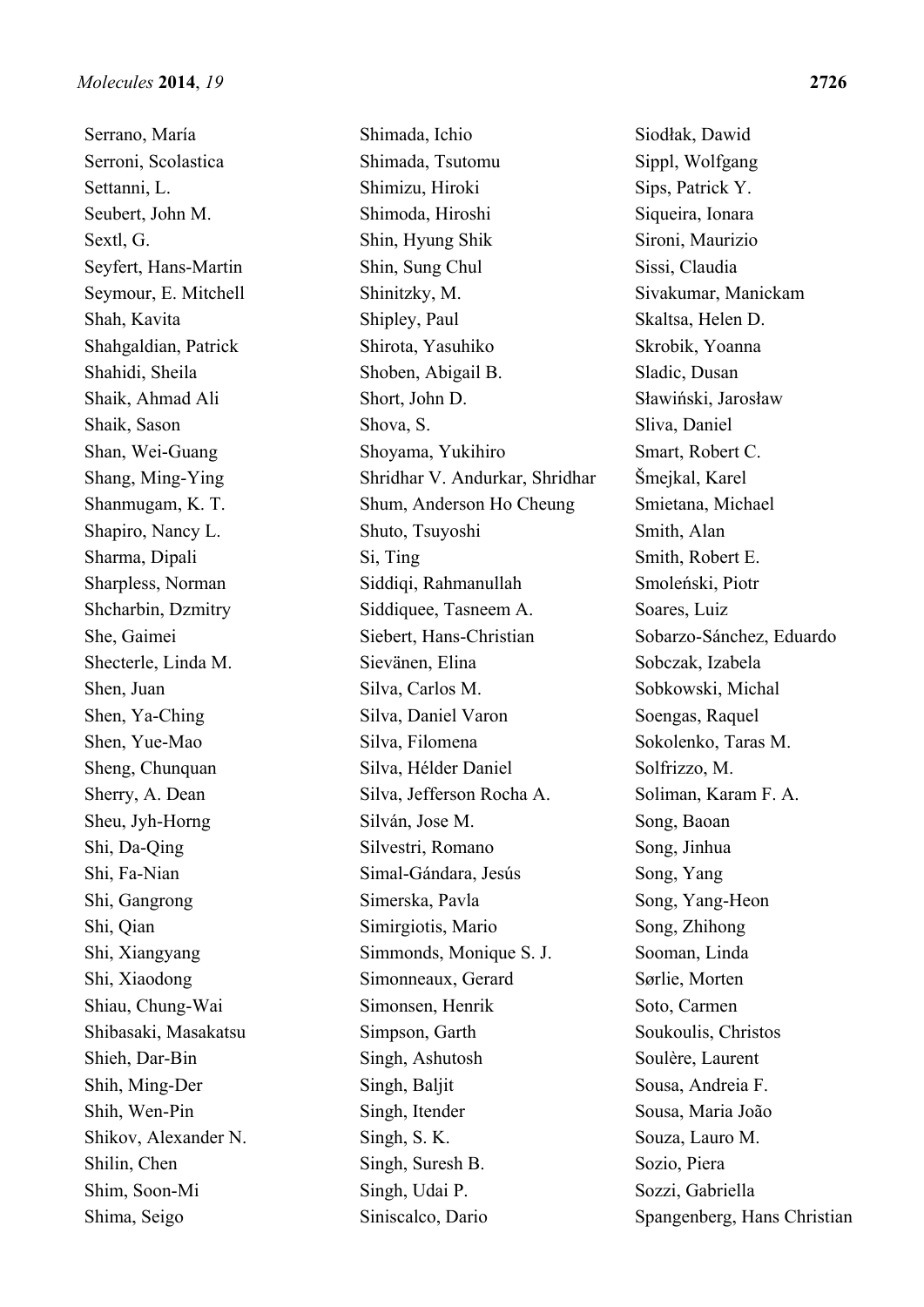Serrano, María Serroni, Scolastica Settanni, L. Seubert, John M. Sextl, G. Seyfert, Hans-Martin Seymour, E. Mitchell Shah, Kavita Shahgaldian, Patrick Shahidi, Sheila Shaik, Ahmad Ali Shaik, Sason Shan, Wei-Guang Shang, Ming-Ying Shanmugam, K. T. Shapiro, Nancy L. Sharma, Dipali Sharpless, Norman Shcharbin, Dzmitry She, Gaimei Shecterle, Linda M. Shen, Juan Shen, Ya-Ching Shen, Yue-Mao Sheng, Chunquan Sherry, A. Dean Sheu, Jyh-Horng Shi, Da-Qing Shi, Fa-Nian Shi, Gangrong Shi, Qian Shi, Xiangyang Shi, Xiaodong Shiau, Chung-Wai Shibasaki, Masakatsu Shieh, Dar-Bin Shih, Ming-Der Shih, Wen-Pin Shikov, Alexander N. Shilin, Chen Shim, Soon-Mi Shima, Seigo

Shimada, Ichio Shimada, Tsutomu Shimizu, Hiroki Shimoda, Hiroshi Shin, Hyung Shik Shin, Sung Chul Shinitzky, M. Shipley, Paul Shirota, Yasuhiko Shoben, Abigail B. Short, John D. Shova, S. Shoyama, Yukihiro Shridhar V. Andurkar, Shridhar Shum, Anderson Ho Cheung Shuto, Tsuyoshi Si, Ting Siddiqi, Rahmanullah Siddiquee, Tasneem A. Siebert, Hans-Christian Sievänen, Elina Silva, Carlos M. Silva, Daniel Varon Silva, Filomena Silva, Hélder Daniel Silva, Jefferson Rocha A. Silván, Jose M. Silvestri, Romano Simal-Gándara, Jesús Simerska, Pavla Simirgiotis, Mario Simmonds, Monique S. J. Simonneaux, Gerard Simonsen, Henrik Simpson, Garth Singh, Ashutosh Singh, Baljit Singh, Itender Singh, S. K. Singh, Suresh B. Singh, Udai P. Siniscalco, Dario

Siodłak, Dawid Sippl, Wolfgang Sips, Patrick Y. Siqueira, Ionara Sironi, Maurizio Sissi, Claudia Sivakumar, Manickam Skaltsa, Helen D. Skrobik, Yoanna Sladic, Dusan Sławiński, Jarosław Sliva, Daniel Smart, Robert C. Šmejkal, Karel Smietana, Michael Smith, Alan Smith, Robert E. Smoleński, Piotr Soares, Luiz Sobarzo-Sánchez, Eduardo Sobczak, Izabela Sobkowski, Michal Soengas, Raquel Sokolenko, Taras M. Solfrizzo, M. Soliman, Karam F. A. Song, Baoan Song, Jinhua Song, Yang Song, Yang-Heon Song, Zhihong Sooman, Linda Sørlie, Morten Soto, Carmen Soukoulis, Christos Soulère, Laurent Sousa, Andreia F. Sousa, Maria João Souza, Lauro M. Sozio, Piera Sozzi, Gabriella Spangenberg, Hans Christian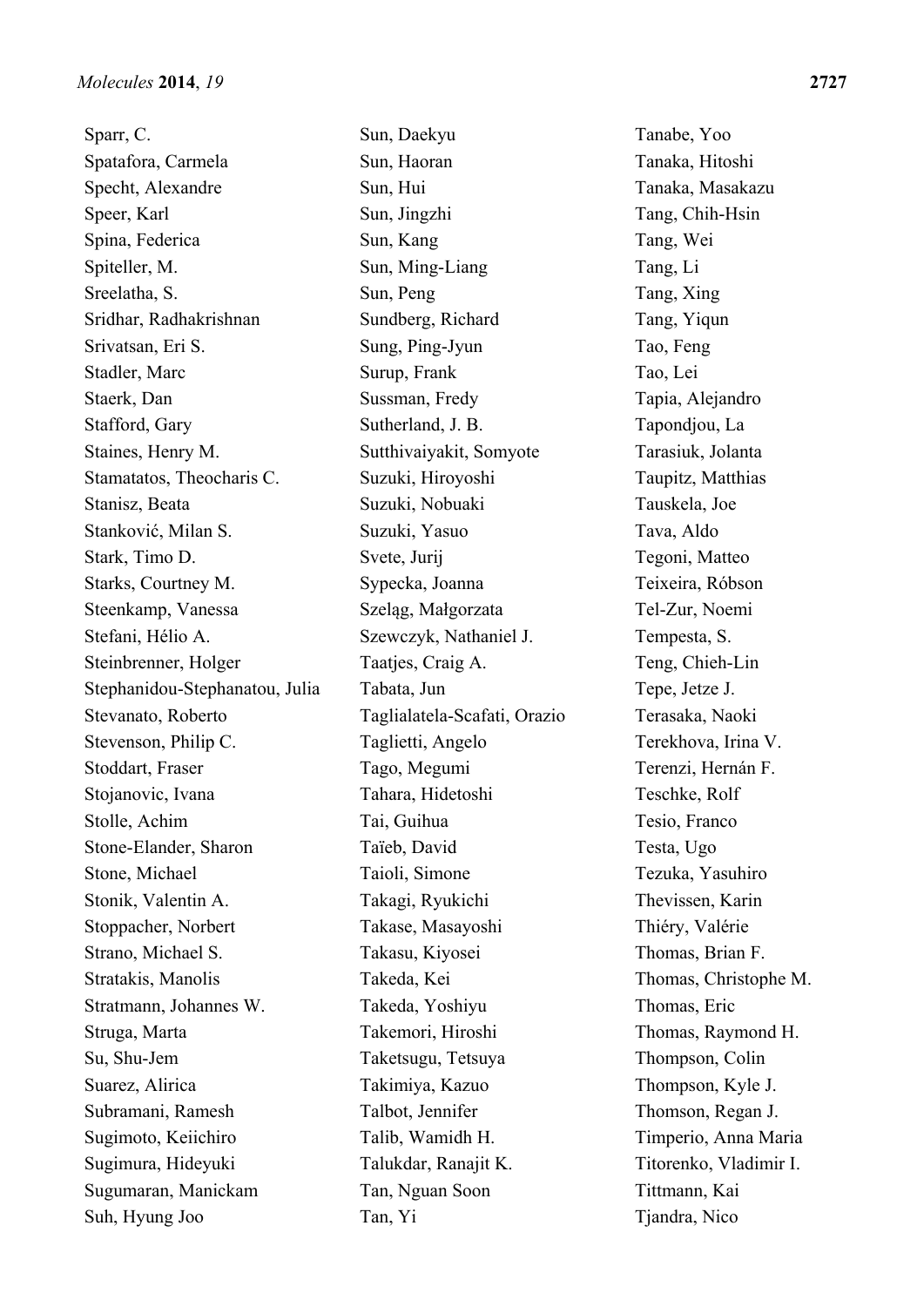Sparr, C. Spatafora, Carmela Specht, Alexandre Speer, Karl Spina, Federica Spiteller, M. Sreelatha, S. Sridhar, Radhakrishnan Srivatsan, Eri S. Stadler, Marc Staerk, Dan Stafford, Gary Staines, Henry M. Stamatatos, Theocharis C. Stanisz, Beata Stanković, Milan S. Stark, Timo D. Starks, Courtney M. Steenkamp, Vanessa Stefani, Hélio A. Steinbrenner, Holger Stephanidou-Stephanatou, Julia Stevanato, Roberto Stevenson, Philip C. Stoddart, Fraser Stojanovic, Ivana Stolle, Achim Stone-Elander, Sharon Stone, Michael Stonik, Valentin A. Stoppacher, Norbert Strano, Michael S. Stratakis, Manolis Stratmann, Johannes W. Struga, Marta Su, Shu-Jem Suarez, Alirica Subramani, Ramesh Sugimoto, Keiichiro Sugimura, Hideyuki Sugumaran, Manickam Suh, Hyung Joo

Sun, Daekyu Sun, Haoran Sun, Hui Sun, Jingzhi Sun, Kang Sun, Ming-Liang Sun, Peng Sundberg, Richard Sung, Ping-Jyun Surup, Frank Sussman, Fredy Sutherland, J. B. Sutthivaiyakit, Somyote Suzuki, Hiroyoshi Suzuki, Nobuaki Suzuki, Yasuo Svete, Jurij Sypecka, Joanna Szeląg, Małgorzata Szewczyk, Nathaniel J. Taatjes, Craig A. Tabata, Jun Taglialatela-Scafati, Orazio Taglietti, Angelo Tago, Megumi Tahara, Hidetoshi Tai, Guihua Taïeb, David Taioli, Simone Takagi, Ryukichi Takase, Masayoshi Takasu, Kiyosei Takeda, Kei Takeda, Yoshiyu Takemori, Hiroshi Taketsugu, Tetsuya Takimiya, Kazuo Talbot, Jennifer Talib, Wamidh H. Talukdar, Ranajit K. Tan, Nguan Soon Tan, Yi

Tanabe, Yoo Tanaka, Hitoshi Tanaka, Masakazu Tang, Chih-Hsin Tang, Wei Tang, Li Tang, Xing Tang, Yiqun Tao, Feng Tao, Lei Tapia, Alejandro Tapondjou, La Tarasiuk, Jolanta Taupitz, Matthias Tauskela, Joe Tava, Aldo Tegoni, Matteo Teixeira, Róbson Tel-Zur, Noemi Tempesta, S. Teng, Chieh-Lin Tepe, Jetze J. Terasaka, Naoki Terekhova, Irina V. Terenzi, Hernán F. Teschke, Rolf Tesio, Franco Testa, Ugo Tezuka, Yasuhiro Thevissen, Karin Thiéry, Valérie Thomas, Brian F. Thomas, Christophe M. Thomas, Eric Thomas, Raymond H. Thompson, Colin Thompson, Kyle J. Thomson, Regan J. Timperio, Anna Maria Titorenko, Vladimir I. Tittmann, Kai Tjandra, Nico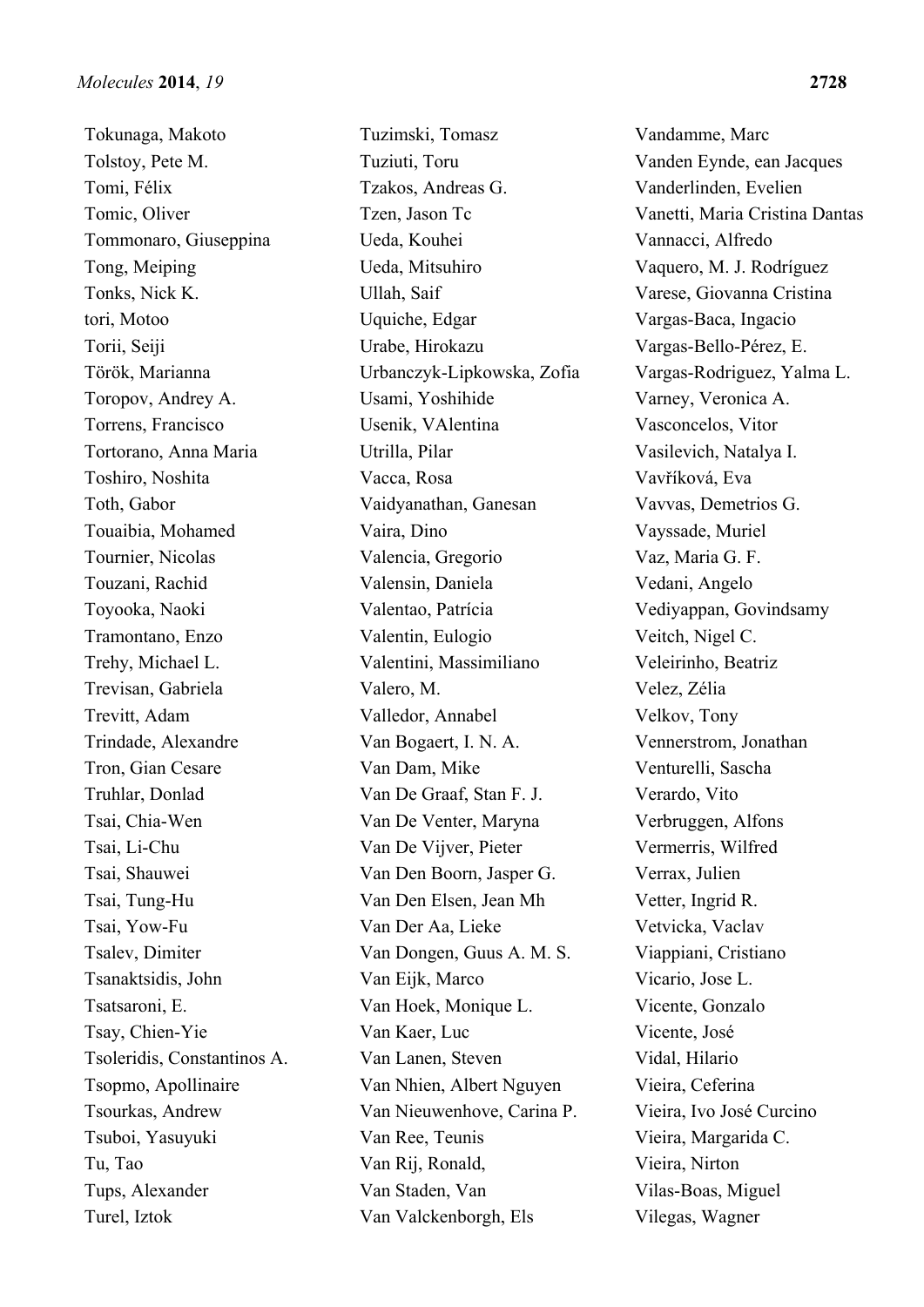Tokunaga, Makoto Tolstoy, Pete M. Tomi, Félix Tomic, Oliver Tommonaro, Giuseppina Tong, Meiping Tonks, Nick K. tori, Motoo Torii, Seiji Török, Marianna Toropov, Andrey A. Torrens, Francisco Tortorano, Anna Maria Toshiro, Noshita Toth, Gabor Touaibia, Mohamed Tournier, Nicolas Touzani, Rachid Toyooka, Naoki Tramontano, Enzo Trehy, Michael L. Trevisan, Gabriela Trevitt, Adam Trindade, Alexandre Tron, Gian Cesare Truhlar, Donlad Tsai, Chia-Wen Tsai, Li-Chu Tsai, Shauwei Tsai, Tung-Hu Tsai, Yow-Fu Tsalev, Dimiter Tsanaktsidis, John Tsatsaroni, E. Tsay, Chien-Yie Tsoleridis, Constantinos A. Tsopmo, Apollinaire Tsourkas, Andrew Tsuboi, Yasuyuki Tu, Tao Tups, Alexander Turel, Iztok

Tuzimski, Tomasz Tuziuti, Toru Tzakos, Andreas G. Tzen, Jason Tc Ueda, Kouhei Ueda, Mitsuhiro Ullah, Saif Uquiche, Edgar Urabe, Hirokazu Urbanczyk-Lipkowska, Zofia Usami, Yoshihide Usenik, VAlentina Utrilla, Pilar Vacca, Rosa Vaidyanathan, Ganesan Vaira, Dino Valencia, Gregorio Valensin, Daniela Valentao, Patrícia Valentin, Eulogio Valentini, Massimiliano Valero, M. Valledor, Annabel Van Bogaert, I. N. A. Van Dam, Mike Van De Graaf, Stan F. J. Van De Venter, Maryna Van De Vijver, Pieter Van Den Boorn, Jasper G. Van Den Elsen, Jean Mh Van Der Aa, Lieke Van Dongen, Guus A. M. S. Van Eijk, Marco Van Hoek, Monique L. Van Kaer, Luc Van Lanen, Steven Van Nhien, Albert Nguyen Van Nieuwenhove, Carina P. Van Ree, Teunis Van Rij, Ronald, Van Staden, Van Van Valckenborgh, Els

Vandamme, Marc Vanden Eynde, ean Jacques Vanderlinden, Evelien Vanetti, Maria Cristina Dantas Vannacci, Alfredo Vaquero, M. J. Rodríguez Varese, Giovanna Cristina Vargas-Baca, Ingacio Vargas-Bello-Pérez, E. Vargas-Rodriguez, Yalma L. Varney, Veronica A. Vasconcelos, Vitor Vasilevich, Natalya I. Vavříková, Eva Vavvas, Demetrios G. Vayssade, Muriel Vaz, Maria G. F. Vedani, Angelo Vediyappan, Govindsamy Veitch, Nigel C. Veleirinho, Beatriz Velez, Zélia Velkov, Tony Vennerstrom, Jonathan Venturelli, Sascha Verardo, Vito Verbruggen, Alfons Vermerris, Wilfred Verrax, Julien Vetter, Ingrid R. Vetvicka, Vaclav Viappiani, Cristiano Vicario, Jose L. Vicente, Gonzalo Vicente, José Vidal, Hilario Vieira, Ceferina Vieira, Ivo José Curcino Vieira, Margarida C. Vieira, Nirton Vilas-Boas, Miguel Vilegas, Wagner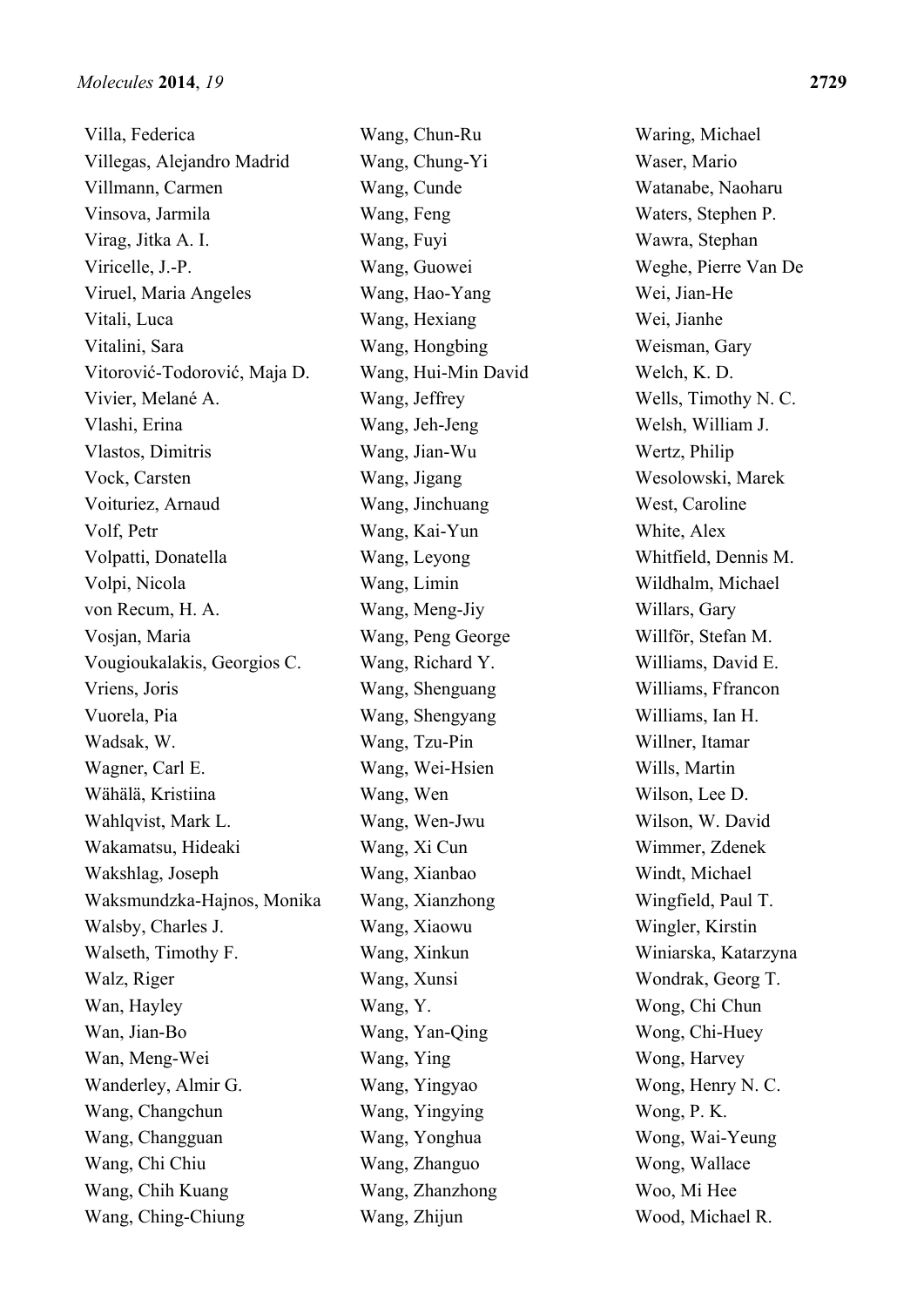Villa, Federica Villegas, Alejandro Madrid Villmann, Carmen Vinsova, Jarmila Virag, Jitka A. I. Viricelle, J.-P. Viruel, Maria Angeles Vitali, Luca Vitalini, Sara Vitorović-Todorović, Maja D. Vivier, Melané A. Vlashi, Erina Vlastos, Dimitris Vock, Carsten Voituriez, Arnaud Volf, Petr Volpatti, Donatella Volpi, Nicola von Recum, H. A. Vosjan, Maria Vougioukalakis, Georgios C. Vriens, Joris Vuorela, Pia Wadsak, W. Wagner, Carl E. Wähälä, Kristiina Wahlqvist, Mark L. Wakamatsu, Hideaki Wakshlag, Joseph Waksmundzka-Hajnos, Monika Walsby, Charles J. Walseth, Timothy F. Walz, Riger Wan, Hayley Wan, Jian-Bo Wan, Meng-Wei Wanderley, Almir G. Wang, Changchun Wang, Changguan Wang, Chi Chiu Wang, Chih Kuang Wang, Ching-Chiung

Wang, Chun-Ru Wang, Chung-Yi Wang, Cunde Wang, Feng Wang, Fuyi Wang, Guowei Wang, Hao-Yang Wang, Hexiang Wang, Hongbing Wang, Hui-Min David Wang, Jeffrey Wang, Jeh-Jeng Wang, Jian-Wu Wang, Jigang Wang, Jinchuang Wang, Kai-Yun Wang, Leyong Wang, Limin Wang, Meng-Jiy Wang, Peng George Wang, Richard Y. Wang, Shenguang Wang, Shengyang Wang, Tzu-Pin Wang, Wei-Hsien Wang, Wen Wang, Wen-Jwu Wang, Xi Cun Wang, Xianbao Wang, Xianzhong Wang, Xiaowu Wang, Xinkun Wang, Xunsi Wang, Y. Wang, Yan-Qing Wang, Ying Wang, Yingyao Wang, Yingying Wang, Yonghua Wang, Zhanguo Wang, Zhanzhong Wang, Zhijun

Waring, Michael Waser, Mario Watanabe, Naoharu Waters, Stephen P. Wawra, Stephan Weghe, Pierre Van De Wei, Jian-He Wei, Jianhe Weisman, Gary Welch, K. D. Wells, Timothy N. C. Welsh, William J. Wertz, Philip Wesolowski, Marek West, Caroline White, Alex Whitfield, Dennis M. Wildhalm, Michael Willars, Gary Willför, Stefan M. Williams, David E. Williams, Ffrancon Williams, Ian H. Willner, Itamar Wills, Martin Wilson, Lee D. Wilson, W. David Wimmer, Zdenek Windt, Michael Wingfield, Paul T. Wingler, Kirstin Winiarska, Katarzyna Wondrak, Georg T. Wong, Chi Chun Wong, Chi-Huey Wong, Harvey Wong, Henry N. C. Wong, P. K. Wong, Wai-Yeung Wong, Wallace Woo, Mi Hee Wood, Michael R.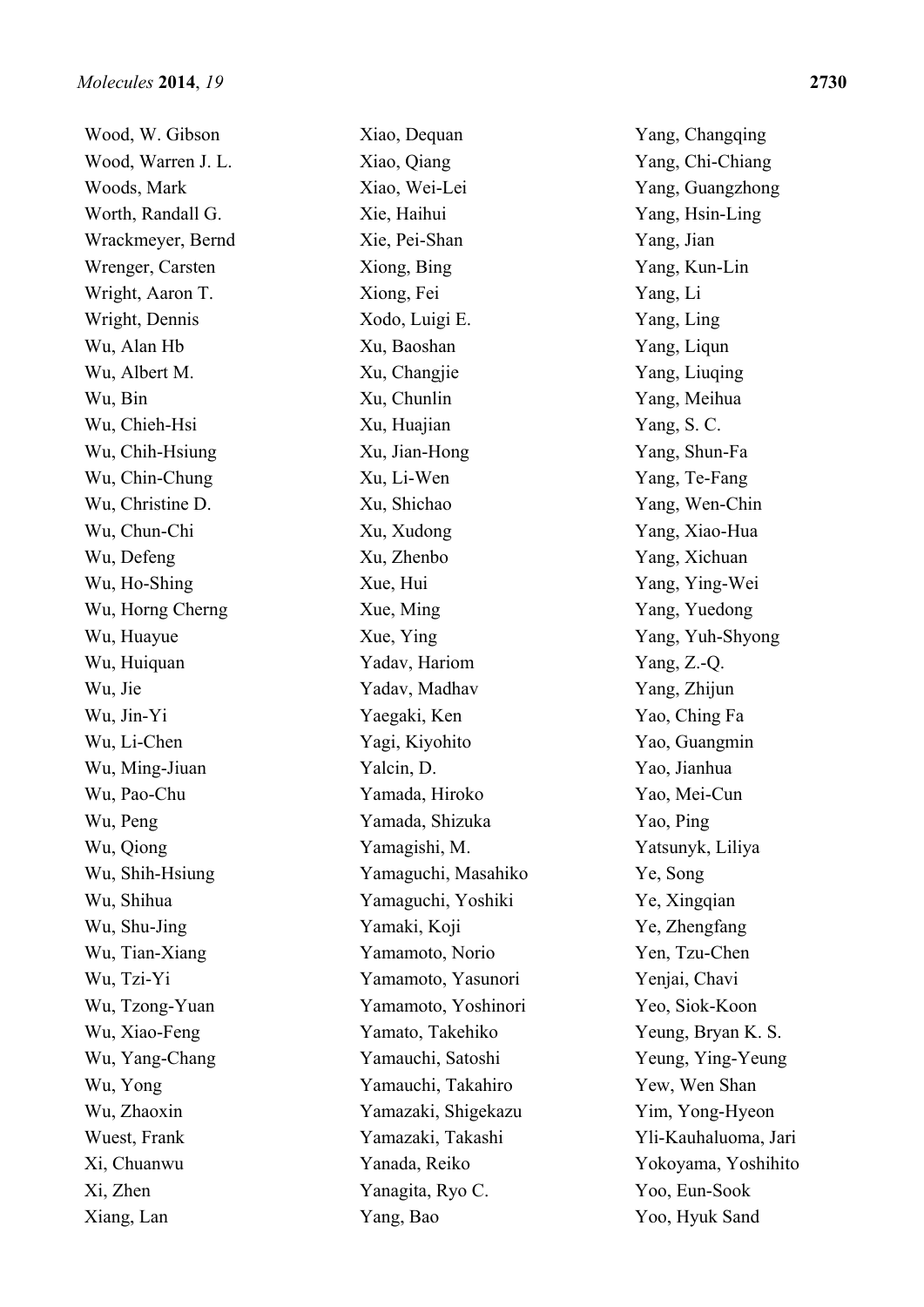Wood, W. Gibson Wood, Warren J. L. Woods, Mark Worth, Randall G. Wrackmeyer, Bernd Wrenger, Carsten Wright, Aaron T. Wright, Dennis Wu, Alan Hb Wu, Albert M. Wu, Bin Wu, Chieh-Hsi Wu, Chih-Hsiung Wu, Chin-Chung Wu, Christine D. Wu, Chun-Chi Wu, Defeng Wu, Ho-Shing Wu, Horng Cherng Wu, Huayue Wu, Huiquan Wu, Jie Wu, Jin-Yi Wu, Li-Chen Wu, Ming-Jiuan Wu, Pao-Chu Wu, Peng Wu, Qiong Wu, Shih-Hsiung Wu, Shihua Wu, Shu-Jing Wu, Tian-Xiang Wu, Tzi-Yi Wu, Tzong-Yuan Wu, Xiao-Feng Wu, Yang-Chang Wu, Yong Wu, Zhaoxin Wuest, Frank Xi, Chuanwu Xi, Zhen Xiang, Lan

Xiao, Dequan Xiao, Qiang Xiao, Wei-Lei Xie, Haihui Xie, Pei-Shan Xiong, Bing Xiong, Fei Xodo, Luigi E. Xu, Baoshan Xu, Changjie Xu, Chunlin Xu, Huajian Xu, Jian-Hong Xu, Li-Wen Xu, Shichao Xu, Xudong Xu, Zhenbo Xue, Hui Xue, Ming Xue, Ying Yadav, Hariom Yadav, Madhav Yaegaki, Ken Yagi, Kiyohito Yalcin, D. Yamada, Hiroko Yamada, Shizuka Yamagishi, M. Yamaguchi, Masahiko Yamaguchi, Yoshiki Yamaki, Koji Yamamoto, Norio Yamamoto, Yasunori Yamamoto, Yoshinori Yamato, Takehiko Yamauchi, Satoshi Yamauchi, Takahiro Yamazaki, Shigekazu Yamazaki, Takashi Yanada, Reiko Yanagita, Ryo C. Yang, Bao

Yang, Changqing Yang, Chi-Chiang Yang, Guangzhong Yang, Hsin-Ling Yang, Jian Yang, Kun-Lin Yang, Li Yang, Ling Yang, Liqun Yang, Liuqing Yang, Meihua Yang, S. C. Yang, Shun-Fa Yang, Te-Fang Yang, Wen-Chin Yang, Xiao-Hua Yang, Xichuan Yang, Ying-Wei Yang, Yuedong Yang, Yuh-Shyong Yang, Z.-Q. Yang, Zhijun Yao, Ching Fa Yao, Guangmin Yao, Jianhua Yao, Mei-Cun Yao, Ping Yatsunyk, Liliya Ye, Song Ye, Xingqian Ye, Zhengfang Yen, Tzu-Chen Yenjai, Chavi Yeo, Siok-Koon Yeung, Bryan K. S. Yeung, Ying-Yeung Yew, Wen Shan Yim, Yong-Hyeon Yli-Kauhaluoma, Jari Yokoyama, Yoshihito Yoo, Eun-Sook Yoo, Hyuk Sand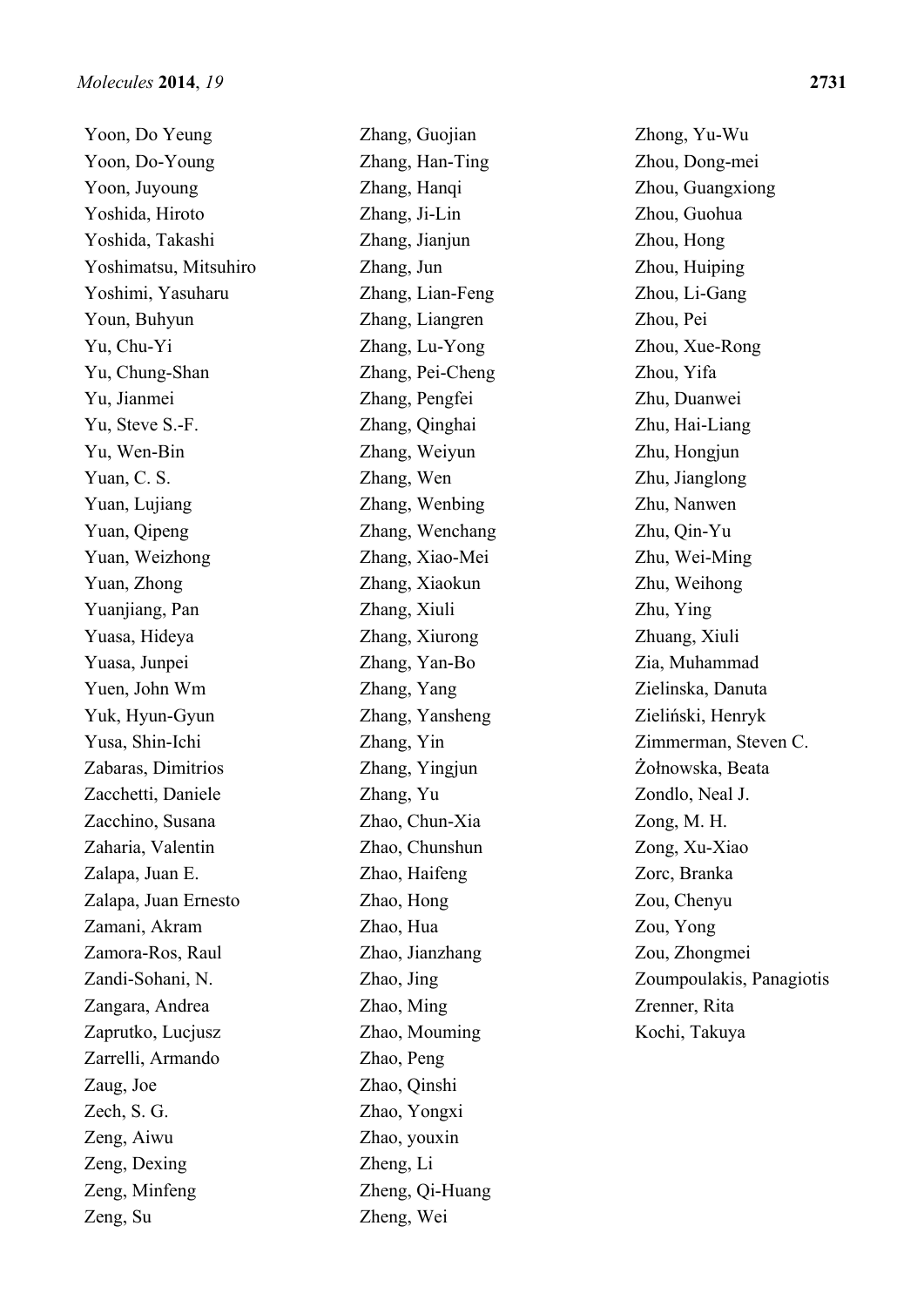Yoon, Do Yeung Yoon, Do-Young Yoon, Juyoung Yoshida, Hiroto Yoshida, Takashi Yoshimatsu, Mitsuhiro Yoshimi, Yasuharu Youn, Buhyun Yu, Chu-Yi Yu, Chung-Shan Yu, Jianmei Yu, Steve S.-F. Yu, Wen-Bin Yuan, C. S. Yuan, Lujiang Yuan, Qipeng Yuan, Weizhong Yuan, Zhong Yuanjiang, Pan Yuasa, Hideya Yuasa, Junpei Yuen, John Wm Yuk, Hyun-Gyun Yusa, Shin-Ichi Zabaras, Dimitrios Zacchetti, Daniele Zacchino, Susana Zaharia, Valentin Zalapa, Juan E. Zalapa, Juan Ernesto Zamani, Akram Zamora-Ros, Raul Zandi-Sohani, N. Zangara, Andrea Zaprutko, Lucjusz Zarrelli, Armando Zaug, Joe Zech, S. G. Zeng, Aiwu Zeng, Dexing Zeng, Minfeng Zeng, Su

Zhang, Guojian Zhang, Han-Ting Zhang, Hanqi Zhang, Ji-Lin Zhang, Jianjun Zhang, Jun Zhang, Lian-Feng Zhang, Liangren Zhang, Lu-Yong Zhang, Pei-Cheng Zhang, Pengfei Zhang, Qinghai Zhang, Weiyun Zhang, Wen Zhang, Wenbing Zhang, Wenchang Zhang, Xiao-Mei Zhang, Xiaokun Zhang, Xiuli Zhang, Xiurong Zhang, Yan-Bo Zhang, Yang Zhang, Yansheng Zhang, Yin Zhang, Yingjun Zhang, Yu Zhao, Chun-Xia Zhao, Chunshun Zhao, Haifeng Zhao, Hong Zhao, Hua Zhao, Jianzhang Zhao, Jing Zhao, Ming Zhao, Mouming Zhao, Peng Zhao, Qinshi Zhao, Yongxi Zhao, youxin Zheng, Li Zheng, Qi-Huang Zheng, Wei

Zhong, Yu-Wu Zhou, Dong-mei Zhou, Guangxiong Zhou, Guohua Zhou, Hong Zhou, Huiping Zhou, Li-Gang Zhou, Pei Zhou, Xue-Rong Zhou, Yifa Zhu, Duanwei Zhu, Hai-Liang Zhu, Hongjun Zhu, Jianglong Zhu, Nanwen Zhu, Qin-Yu Zhu, Wei-Ming Zhu, Weihong Zhu, Ying Zhuang, Xiuli Zia, Muhammad Zielinska, Danuta Zieliński, Henryk Zimmerman, Steven C. Żołnowska, Beata Zondlo, Neal J. Zong, M. H. Zong, Xu-Xiao Zorc, Branka Zou, Chenyu Zou, Yong Zou, Zhongmei Zoumpoulakis, Panagiotis Zrenner, Rita Kochi, Takuya